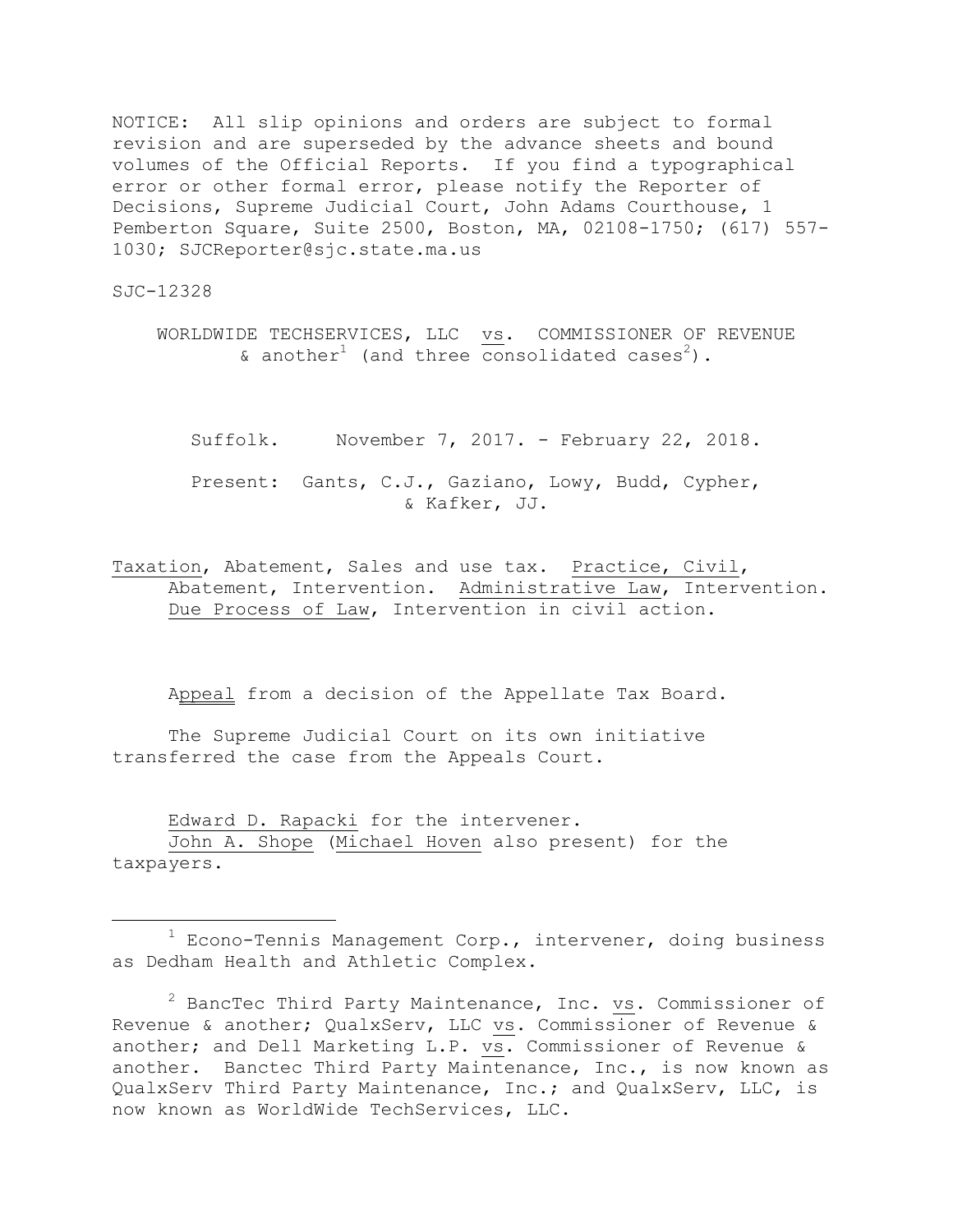NOTICE: All slip opinions and orders are subject to formal revision and are superseded by the advance sheets and bound volumes of the Official Reports. If you find a typographical error or other formal error, please notify the Reporter of Decisions, Supreme Judicial Court, John Adams Courthouse, 1 Pemberton Square, Suite 2500, Boston, MA, 02108-1750; (617) 557- 1030; SJCReporter@sjc.state.ma.us

SJC-12328

÷.

WORLDWIDE TECHSERVICES, LLC vs. COMMISSIONER OF REVENUE & another<sup>1</sup> (and three consolidated cases<sup>2</sup>).

Suffolk. November 7, 2017. - February 22, 2018. Present: Gants, C.J., Gaziano, Lowy, Budd, Cypher, & Kafker, JJ.

Taxation, Abatement, Sales and use tax. Practice, Civil, Abatement, Intervention. Administrative Law, Intervention. Due Process of Law, Intervention in civil action.

Appeal from a decision of the Appellate Tax Board.

The Supreme Judicial Court on its own initiative transferred the case from the Appeals Court.

Edward D. Rapacki for the intervener. John A. Shope (Michael Hoven also present) for the taxpayers.

 $1$  Econo-Tennis Management Corp., intervener, doing business as Dedham Health and Athletic Complex.

 $2$  BancTec Third Party Maintenance, Inc. vs. Commissioner of Revenue & another; QualxServ, LLC vs. Commissioner of Revenue & another; and Dell Marketing L.P. vs. Commissioner of Revenue & another. Banctec Third Party Maintenance, Inc., is now known as QualxServ Third Party Maintenance, Inc.; and QualxServ, LLC, is now known as WorldWide TechServices, LLC.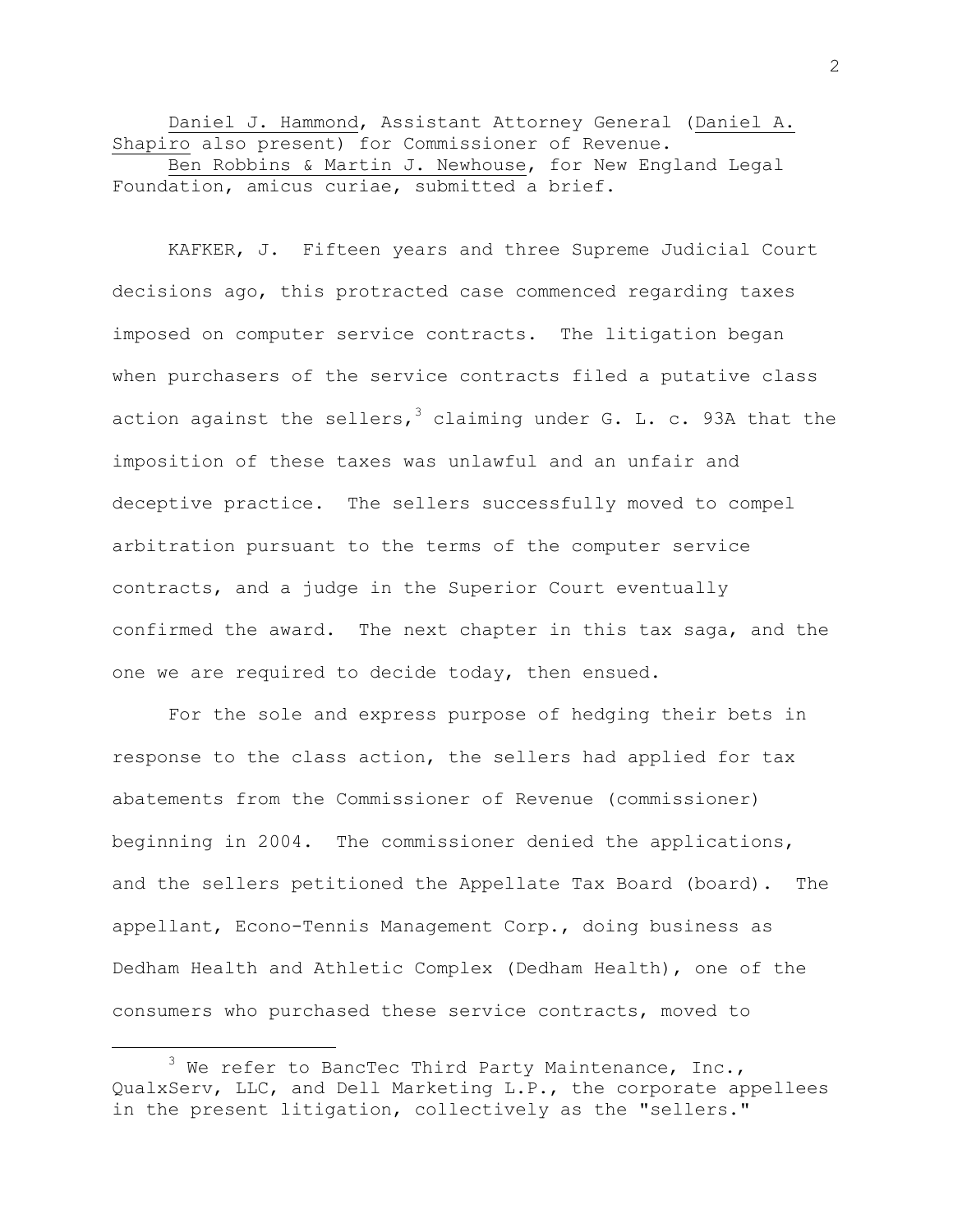Daniel J. Hammond, Assistant Attorney General (Daniel A. Shapiro also present) for Commissioner of Revenue. Ben Robbins & Martin J. Newhouse, for New England Legal Foundation, amicus curiae, submitted a brief.

KAFKER, J. Fifteen years and three Supreme Judicial Court decisions ago, this protracted case commenced regarding taxes imposed on computer service contracts. The litigation began when purchasers of the service contracts filed a putative class action against the sellers, $^3$  claiming under G. L. c. 93A that the imposition of these taxes was unlawful and an unfair and deceptive practice. The sellers successfully moved to compel arbitration pursuant to the terms of the computer service contracts, and a judge in the Superior Court eventually confirmed the award. The next chapter in this tax saga, and the one we are required to decide today, then ensued.

For the sole and express purpose of hedging their bets in response to the class action, the sellers had applied for tax abatements from the Commissioner of Revenue (commissioner) beginning in 2004. The commissioner denied the applications, and the sellers petitioned the Appellate Tax Board (board). The appellant, Econo-Tennis Management Corp., doing business as Dedham Health and Athletic Complex (Dedham Health), one of the consumers who purchased these service contracts, moved to

 $3$  We refer to BancTec Third Party Maintenance, Inc., QualxServ, LLC, and Dell Marketing L.P., the corporate appellees in the present litigation, collectively as the "sellers."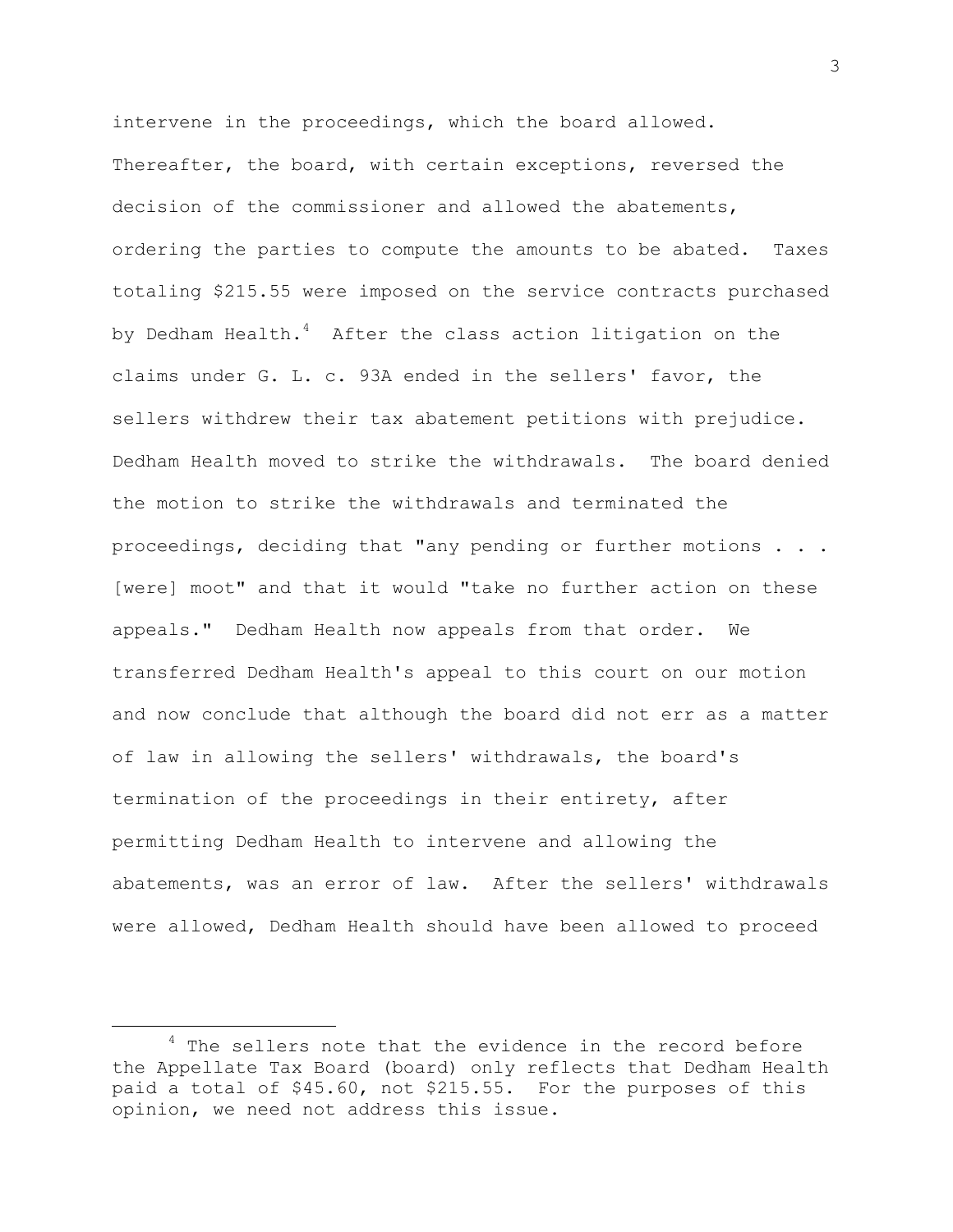intervene in the proceedings, which the board allowed. Thereafter, the board, with certain exceptions, reversed the decision of the commissioner and allowed the abatements, ordering the parties to compute the amounts to be abated. Taxes totaling \$215.55 were imposed on the service contracts purchased by Dedham Health. $^4$  After the class action litigation on the claims under G. L. c. 93A ended in the sellers' favor, the sellers withdrew their tax abatement petitions with prejudice. Dedham Health moved to strike the withdrawals. The board denied the motion to strike the withdrawals and terminated the proceedings, deciding that "any pending or further motions . . . [were] moot" and that it would "take no further action on these appeals." Dedham Health now appeals from that order. We transferred Dedham Health's appeal to this court on our motion and now conclude that although the board did not err as a matter of law in allowing the sellers' withdrawals, the board's termination of the proceedings in their entirety, after permitting Dedham Health to intervene and allowing the abatements, was an error of law. After the sellers' withdrawals were allowed, Dedham Health should have been allowed to proceed

 $4$  The sellers note that the evidence in the record before the Appellate Tax Board (board) only reflects that Dedham Health paid a total of \$45.60, not \$215.55. For the purposes of this opinion, we need not address this issue.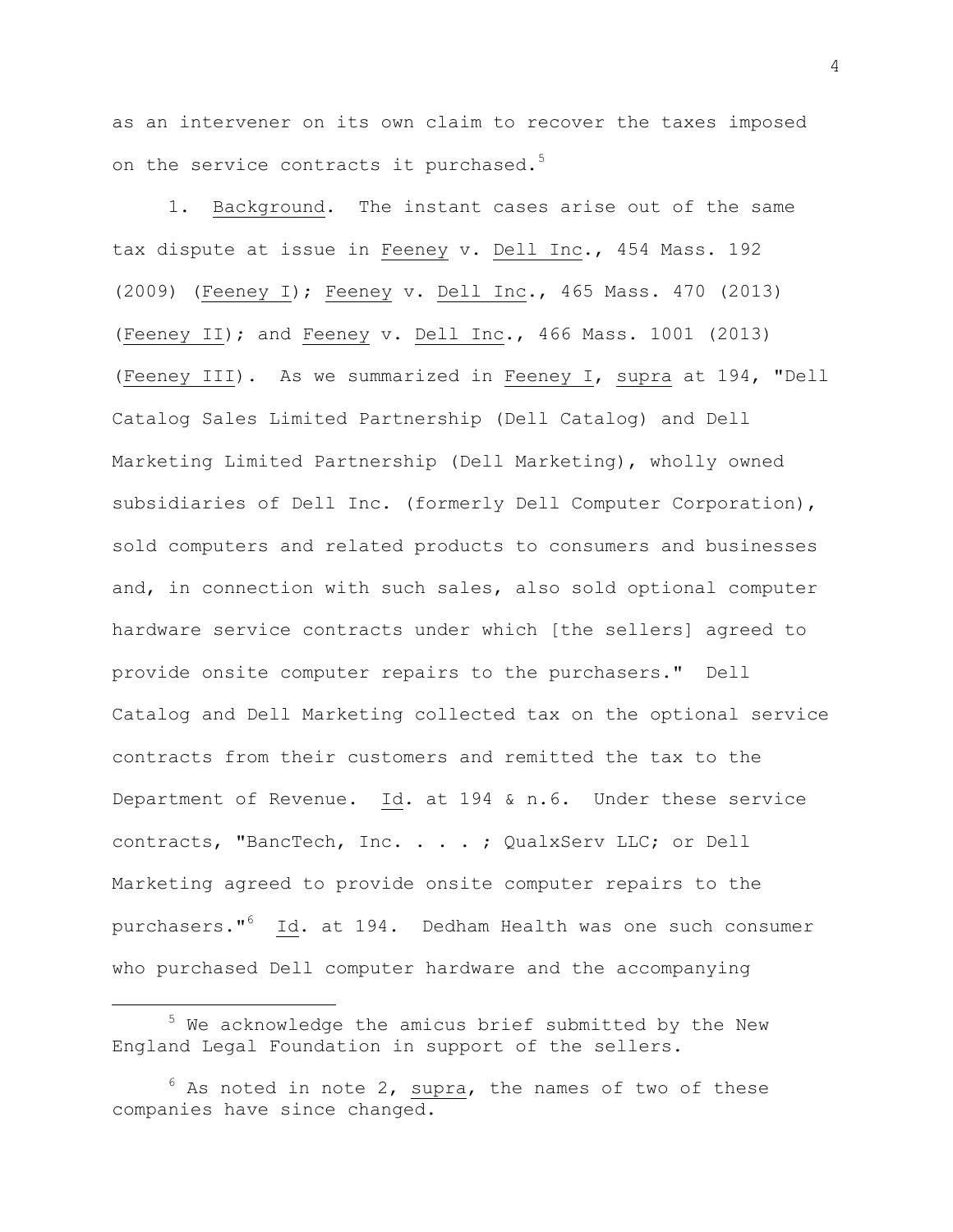as an intervener on its own claim to recover the taxes imposed on the service contracts it purchased.<sup>5</sup>

1. Background. The instant cases arise out of the same tax dispute at issue in Feeney v. Dell Inc., 454 Mass. 192 (2009) (Feeney I); Feeney v. Dell Inc., 465 Mass. 470 (2013) (Feeney II); and Feeney v. Dell Inc., 466 Mass. 1001 (2013) (Feeney III). As we summarized in Feeney I, supra at 194, "Dell Catalog Sales Limited Partnership (Dell Catalog) and Dell Marketing Limited Partnership (Dell Marketing), wholly owned subsidiaries of Dell Inc. (formerly Dell Computer Corporation), sold computers and related products to consumers and businesses and, in connection with such sales, also sold optional computer hardware service contracts under which [the sellers] agreed to provide onsite computer repairs to the purchasers." Dell Catalog and Dell Marketing collected tax on the optional service contracts from their customers and remitted the tax to the Department of Revenue. Id. at 194 & n.6. Under these service contracts, "BancTech, Inc. . . . ; QualxServ LLC; or Dell Marketing agreed to provide onsite computer repairs to the purchasers." <sup>6</sup> Id. at 194. Dedham Health was one such consumer who purchased Dell computer hardware and the accompanying

 $5$  We acknowledge the amicus brief submitted by the New England Legal Foundation in support of the sellers.

 $6$  As noted in note 2, supra, the names of two of these companies have since changed.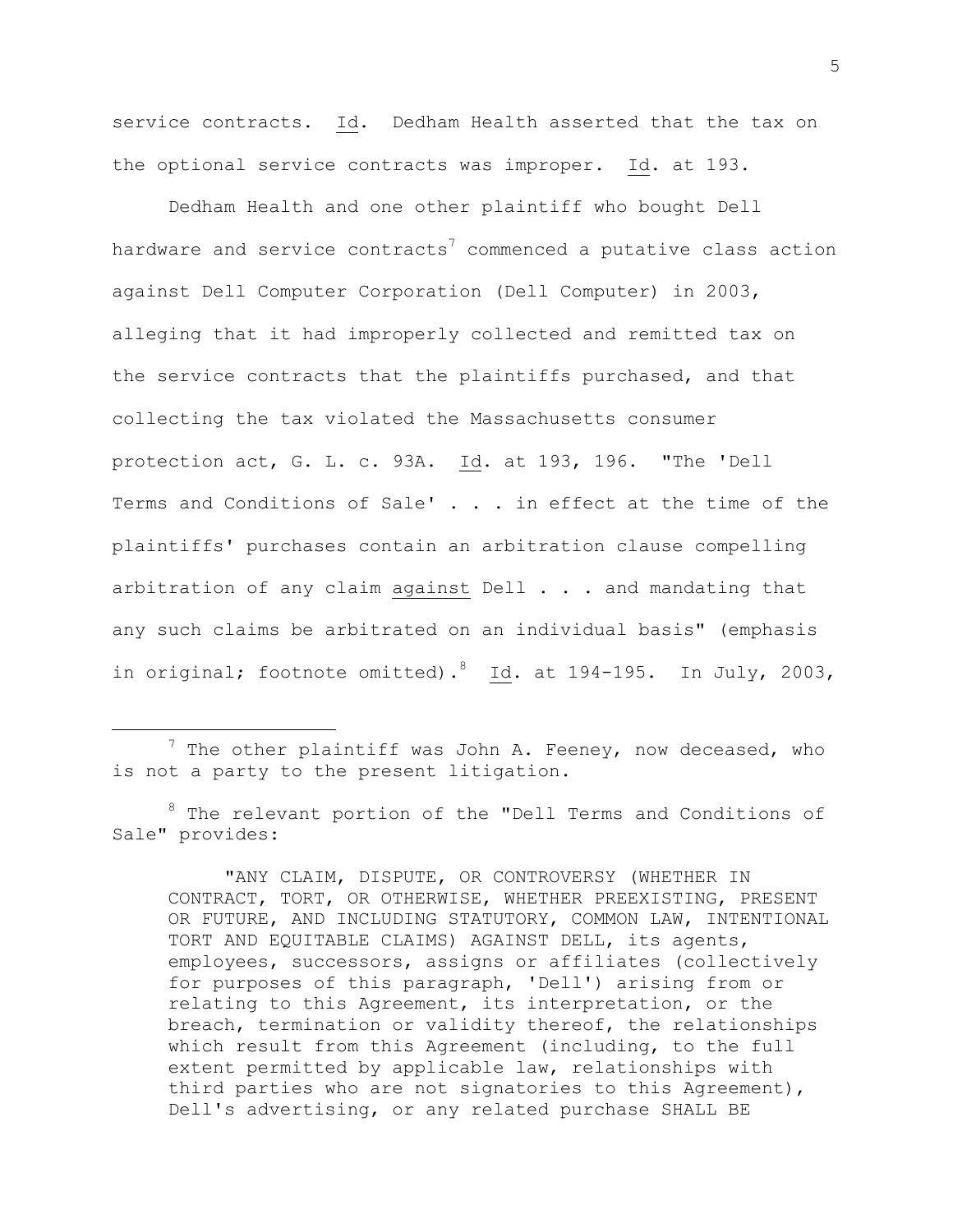service contracts. Id. Dedham Health asserted that the tax on the optional service contracts was improper. Id. at 193.

Dedham Health and one other plaintiff who bought Dell hardware and service contracts<sup>7</sup> commenced a putative class action against Dell Computer Corporation (Dell Computer) in 2003, alleging that it had improperly collected and remitted tax on the service contracts that the plaintiffs purchased, and that collecting the tax violated the Massachusetts consumer protection act, G. L. c. 93A. Id. at 193, 196. "The 'Dell Terms and Conditions of Sale' . . . in effect at the time of the plaintiffs' purchases contain an arbitration clause compelling arbitration of any claim against Dell . . . and mandating that any such claims be arbitrated on an individual basis" (emphasis in original; footnote omitted).  $8$  Id. at 194-195. In July, 2003,

L,

"ANY CLAIM, DISPUTE, OR CONTROVERSY (WHETHER IN CONTRACT, TORT, OR OTHERWISE, WHETHER PREEXISTING, PRESENT OR FUTURE, AND INCLUDING STATUTORY, COMMON LAW, INTENTIONAL TORT AND EQUITABLE CLAIMS) AGAINST DELL, its agents, employees, successors, assigns or affiliates (collectively for purposes of this paragraph, 'Dell') arising from or relating to this Agreement, its interpretation, or the breach, termination or validity thereof, the relationships which result from this Agreement (including, to the full extent permitted by applicable law, relationships with third parties who are not signatories to this Agreement), Dell's advertising, or any related purchase SHALL BE

 $7$  The other plaintiff was John A. Feeney, now deceased, who is not a party to the present litigation.

<sup>8</sup> The relevant portion of the "Dell Terms and Conditions of Sale" provides: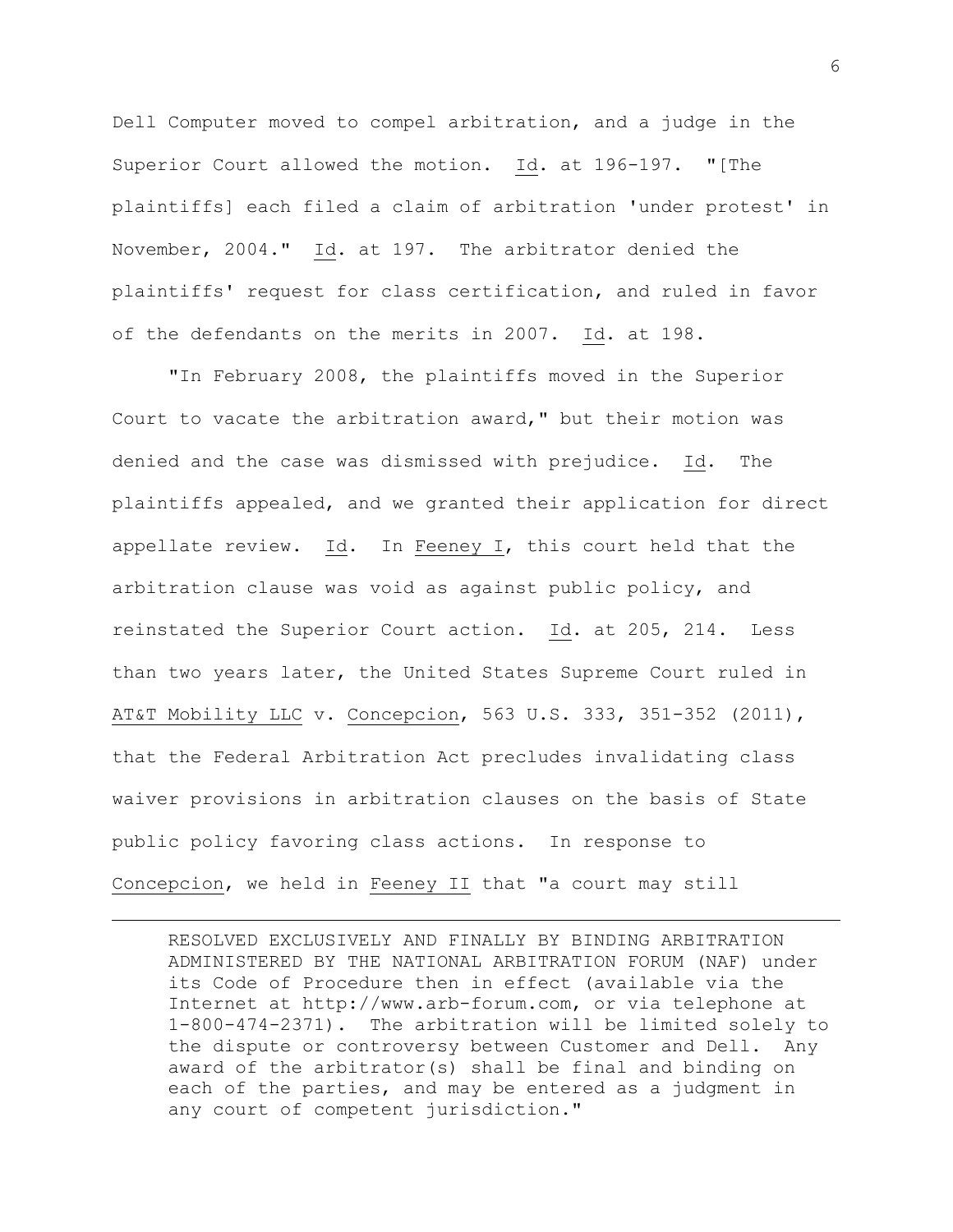Dell Computer moved to compel arbitration, and a judge in the Superior Court allowed the motion. Id. at 196-197. "[The plaintiffs] each filed a claim of arbitration 'under protest' in November, 2004." Id. at 197. The arbitrator denied the plaintiffs' request for class certification, and ruled in favor of the defendants on the merits in 2007. Id. at 198.

"In February 2008, the plaintiffs moved in the Superior Court to vacate the arbitration award," but their motion was denied and the case was dismissed with prejudice. Id. The plaintiffs appealed, and we granted their application for direct appellate review. Id. In Feeney I, this court held that the arbitration clause was void as against public policy, and reinstated the Superior Court action. Id. at 205, 214. Less than two years later, the United States Supreme Court ruled in AT&T Mobility LLC v. Concepcion, 563 U.S. 333, 351-352 (2011), that the Federal Arbitration Act precludes invalidating class waiver provisions in arbitration clauses on the basis of State public policy favoring class actions. In response to Concepcion, we held in Feeney II that "a court may still

RESOLVED EXCLUSIVELY AND FINALLY BY BINDING ARBITRATION ADMINISTERED BY THE NATIONAL ARBITRATION FORUM (NAF) under its Code of Procedure then in effect (available via the Internet at http://www.arb-forum.com, or via telephone at 1-800-474-2371). The arbitration will be limited solely to the dispute or controversy between Customer and Dell. Any award of the arbitrator(s) shall be final and binding on each of the parties, and may be entered as a judgment in any court of competent jurisdiction."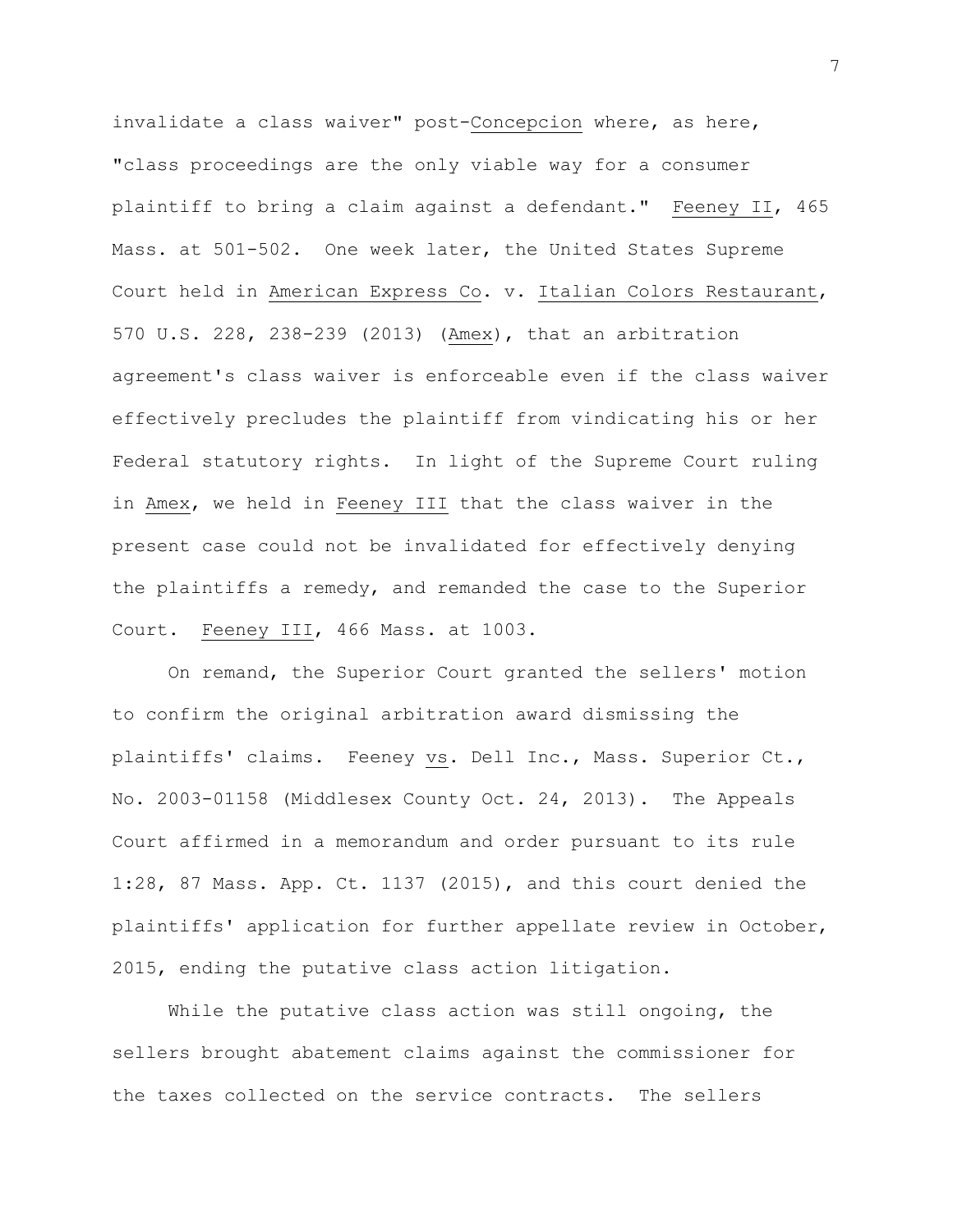invalidate a class waiver" post-Concepcion where, as here, "class proceedings are the only viable way for a consumer plaintiff to bring a claim against a defendant." Feeney II, 465 Mass. at 501-502. One week later, the United States Supreme Court held in American Express Co. v. Italian Colors Restaurant, 570 U.S. 228, 238-239 (2013) (Amex), that an arbitration agreement's class waiver is enforceable even if the class waiver effectively precludes the plaintiff from vindicating his or her Federal statutory rights. In light of the Supreme Court ruling in Amex, we held in Feeney III that the class waiver in the present case could not be invalidated for effectively denying the plaintiffs a remedy, and remanded the case to the Superior Court. Feeney III, 466 Mass. at 1003.

On remand, the Superior Court granted the sellers' motion to confirm the original arbitration award dismissing the plaintiffs' claims. Feeney vs. Dell Inc., Mass. Superior Ct., No. 2003-01158 (Middlesex County Oct. 24, 2013). The Appeals Court affirmed in a memorandum and order pursuant to its rule 1:28, 87 Mass. App. Ct. 1137 (2015), and this court denied the plaintiffs' application for further appellate review in October, 2015, ending the putative class action litigation.

While the putative class action was still ongoing, the sellers brought abatement claims against the commissioner for the taxes collected on the service contracts. The sellers

7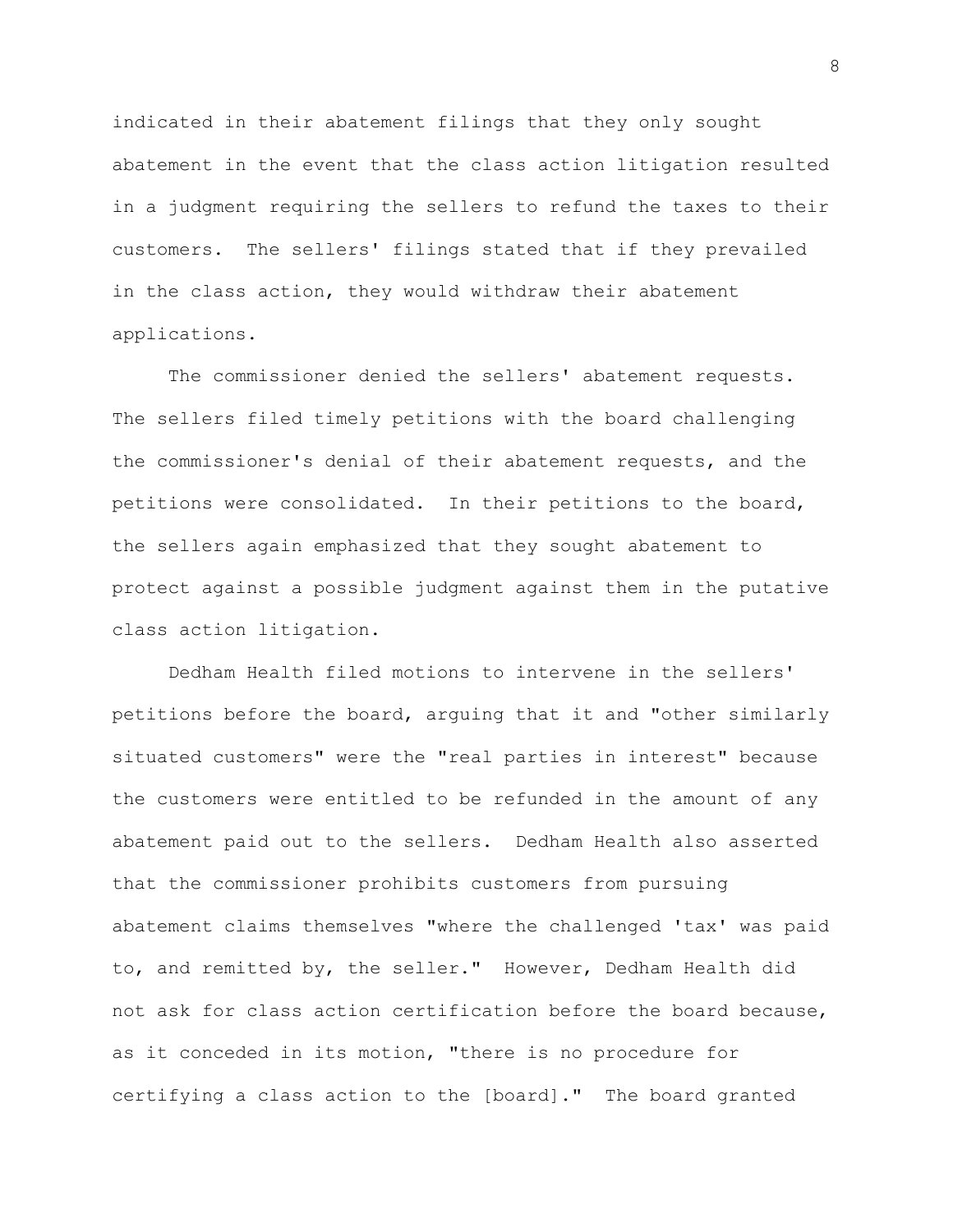indicated in their abatement filings that they only sought abatement in the event that the class action litigation resulted in a judgment requiring the sellers to refund the taxes to their customers. The sellers' filings stated that if they prevailed in the class action, they would withdraw their abatement applications.

The commissioner denied the sellers' abatement requests. The sellers filed timely petitions with the board challenging the commissioner's denial of their abatement requests, and the petitions were consolidated. In their petitions to the board, the sellers again emphasized that they sought abatement to protect against a possible judgment against them in the putative class action litigation.

Dedham Health filed motions to intervene in the sellers' petitions before the board, arguing that it and "other similarly situated customers" were the "real parties in interest" because the customers were entitled to be refunded in the amount of any abatement paid out to the sellers. Dedham Health also asserted that the commissioner prohibits customers from pursuing abatement claims themselves "where the challenged 'tax' was paid to, and remitted by, the seller." However, Dedham Health did not ask for class action certification before the board because, as it conceded in its motion, "there is no procedure for certifying a class action to the [board]." The board granted

8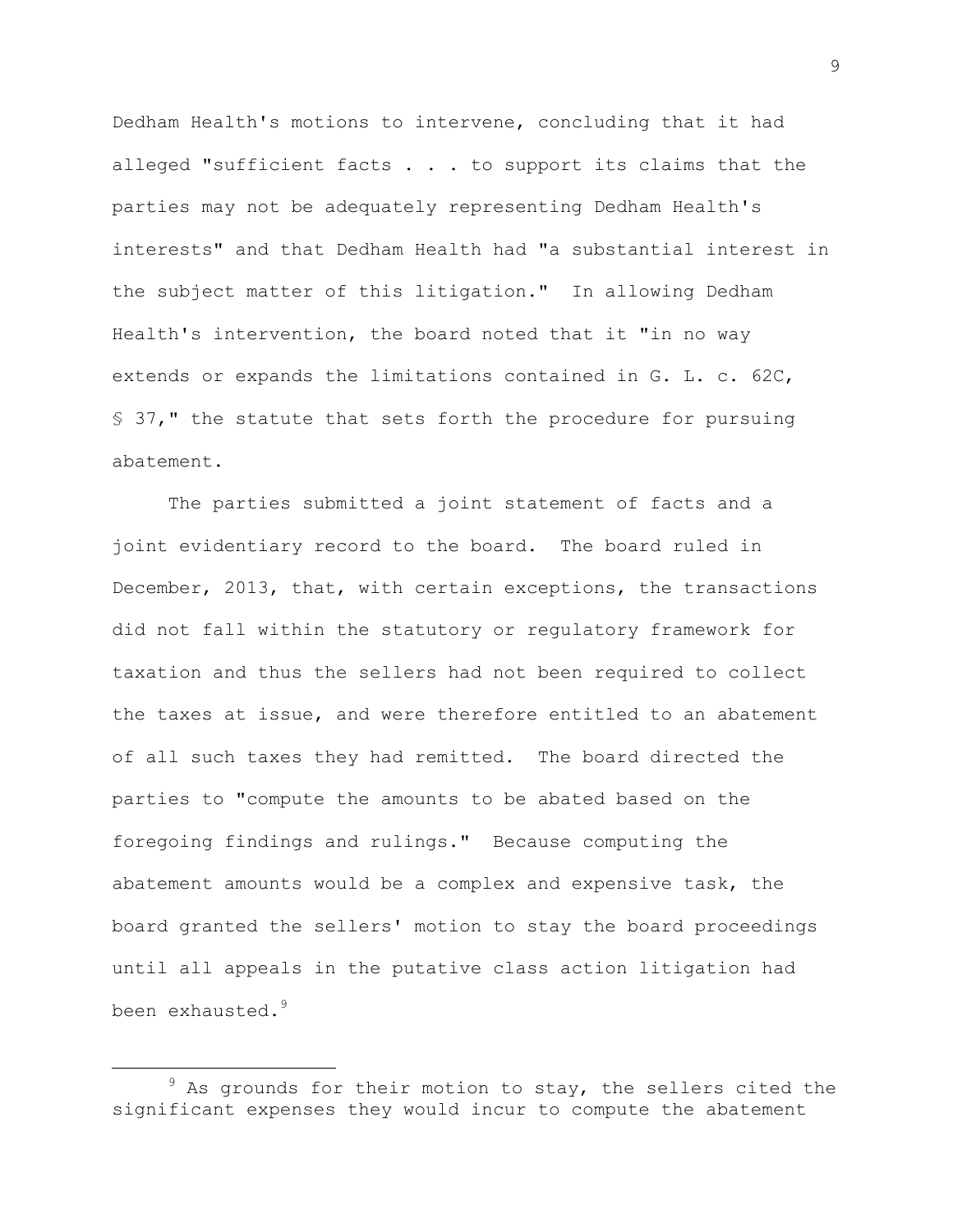Dedham Health's motions to intervene, concluding that it had alleged "sufficient facts . . . to support its claims that the parties may not be adequately representing Dedham Health's interests" and that Dedham Health had "a substantial interest in the subject matter of this litigation." In allowing Dedham Health's intervention, the board noted that it "in no way extends or expands the limitations contained in G. L. c. 62C, § 37," the statute that sets forth the procedure for pursuing abatement.

The parties submitted a joint statement of facts and a joint evidentiary record to the board. The board ruled in December, 2013, that, with certain exceptions, the transactions did not fall within the statutory or regulatory framework for taxation and thus the sellers had not been required to collect the taxes at issue, and were therefore entitled to an abatement of all such taxes they had remitted. The board directed the parties to "compute the amounts to be abated based on the foregoing findings and rulings." Because computing the abatement amounts would be a complex and expensive task, the board granted the sellers' motion to stay the board proceedings until all appeals in the putative class action litigation had been exhausted.<sup>9</sup>

 $9$  As grounds for their motion to stay, the sellers cited the significant expenses they would incur to compute the abatement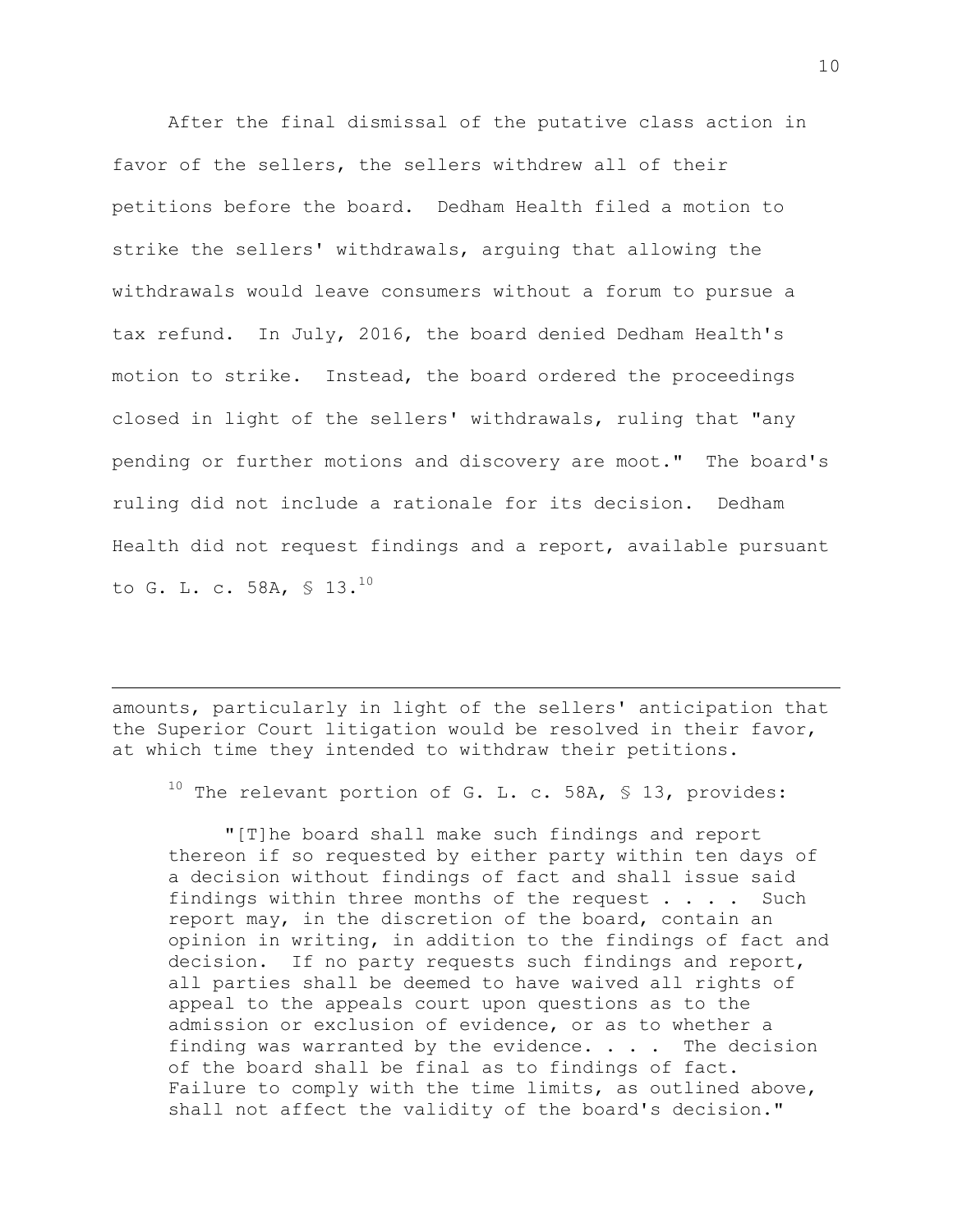After the final dismissal of the putative class action in favor of the sellers, the sellers withdrew all of their petitions before the board. Dedham Health filed a motion to strike the sellers' withdrawals, arguing that allowing the withdrawals would leave consumers without a forum to pursue a tax refund. In July, 2016, the board denied Dedham Health's motion to strike. Instead, the board ordered the proceedings closed in light of the sellers' withdrawals, ruling that "any pending or further motions and discovery are moot." The board's ruling did not include a rationale for its decision. Dedham Health did not request findings and a report, available pursuant to G. L. c. 58A, \$ 13.<sup>10</sup>

amounts, particularly in light of the sellers' anticipation that the Superior Court litigation would be resolved in their favor, at which time they intended to withdraw their petitions.

÷.

 $10$  The relevant portion of G. L. c. 58A, § 13, provides:

"[T]he board shall make such findings and report thereon if so requested by either party within ten days of a decision without findings of fact and shall issue said findings within three months of the request . . . . Such report may, in the discretion of the board, contain an opinion in writing, in addition to the findings of fact and decision. If no party requests such findings and report, all parties shall be deemed to have waived all rights of appeal to the appeals court upon questions as to the admission or exclusion of evidence, or as to whether a finding was warranted by the evidence.  $\ldots$ . The decision of the board shall be final as to findings of fact. Failure to comply with the time limits, as outlined above, shall not affect the validity of the board's decision."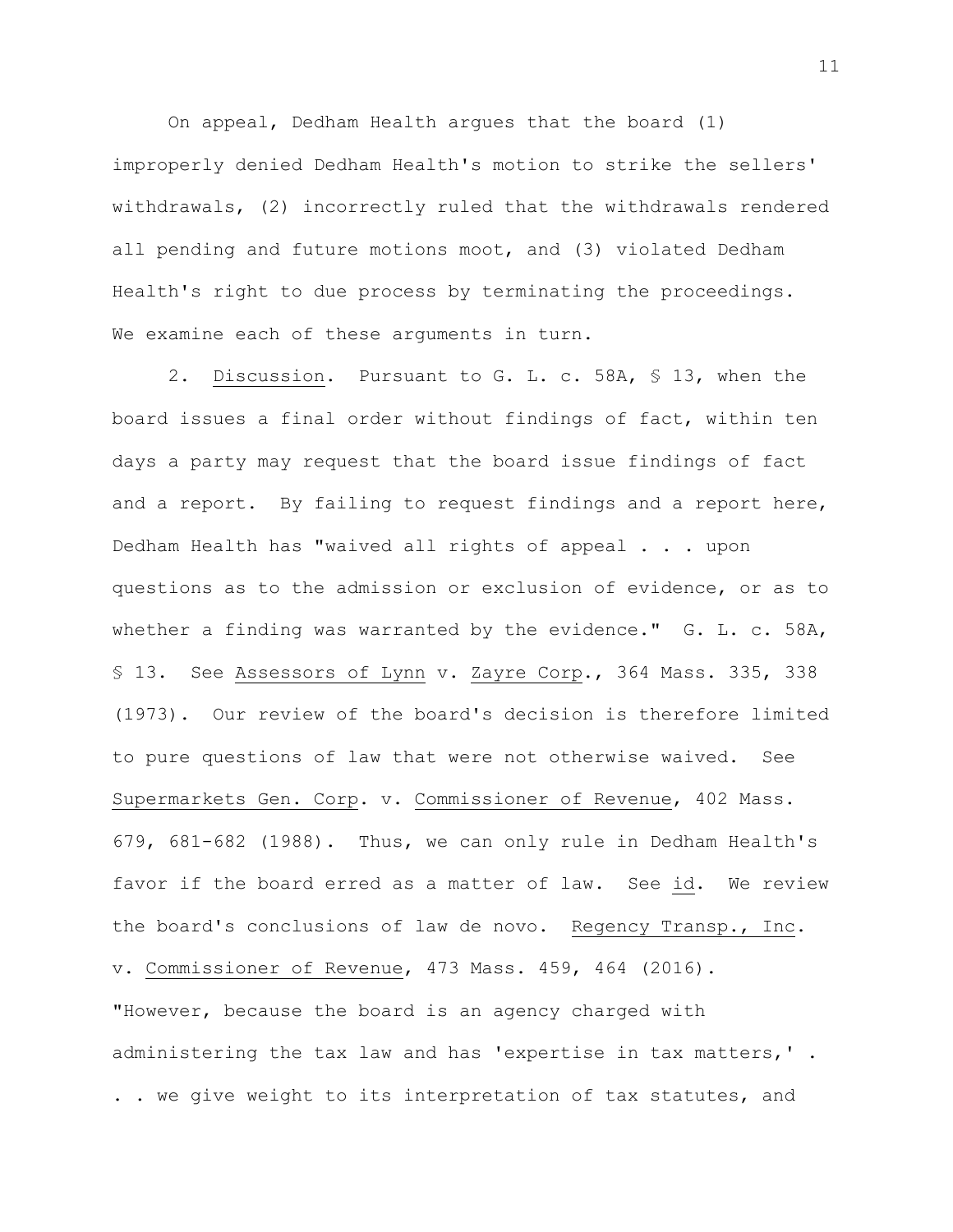On appeal, Dedham Health argues that the board (1) improperly denied Dedham Health's motion to strike the sellers' withdrawals, (2) incorrectly ruled that the withdrawals rendered all pending and future motions moot, and (3) violated Dedham Health's right to due process by terminating the proceedings. We examine each of these arguments in turn.

2. Discussion. Pursuant to G. L. c. 58A, § 13, when the board issues a final order without findings of fact, within ten days a party may request that the board issue findings of fact and a report. By failing to request findings and a report here, Dedham Health has "waived all rights of appeal . . . upon questions as to the admission or exclusion of evidence, or as to whether a finding was warranted by the evidence." G. L. c. 58A, § 13. See Assessors of Lynn v. Zayre Corp., 364 Mass. 335, 338 (1973). Our review of the board's decision is therefore limited to pure questions of law that were not otherwise waived. See Supermarkets Gen. Corp. v. Commissioner of Revenue, 402 Mass. 679, 681-682 (1988). Thus, we can only rule in Dedham Health's favor if the board erred as a matter of law. See id. We review the board's conclusions of law de novo. Regency Transp., Inc. v. Commissioner of Revenue, 473 Mass. 459, 464 (2016). "However, because the board is an agency charged with administering the tax law and has 'expertise in tax matters,' . . . we give weight to its interpretation of tax statutes, and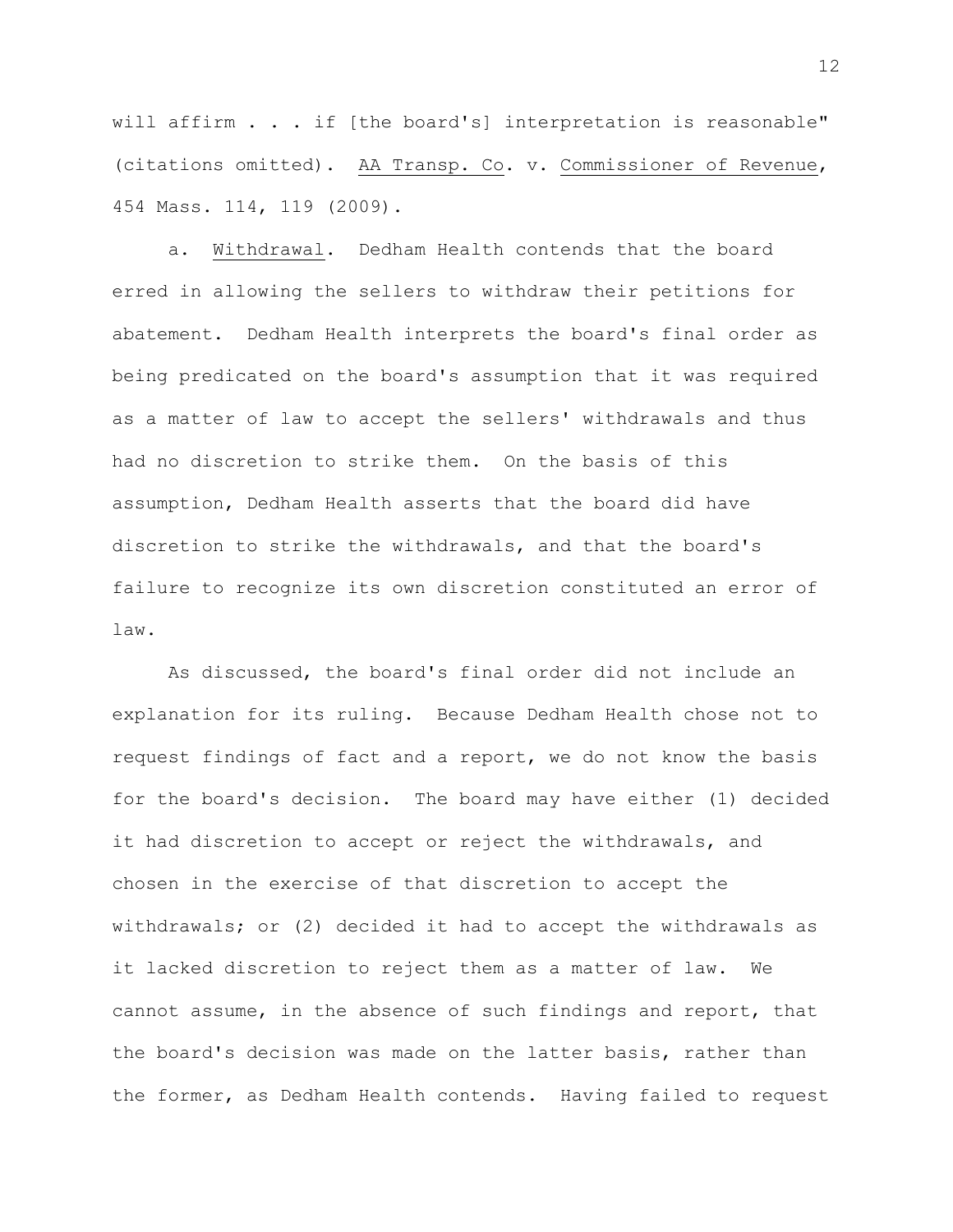will affirm . . . if [the board's] interpretation is reasonable" (citations omitted). AA Transp. Co. v. Commissioner of Revenue, 454 Mass. 114, 119 (2009).

a. Withdrawal. Dedham Health contends that the board erred in allowing the sellers to withdraw their petitions for abatement. Dedham Health interprets the board's final order as being predicated on the board's assumption that it was required as a matter of law to accept the sellers' withdrawals and thus had no discretion to strike them. On the basis of this assumption, Dedham Health asserts that the board did have discretion to strike the withdrawals, and that the board's failure to recognize its own discretion constituted an error of law.

As discussed, the board's final order did not include an explanation for its ruling. Because Dedham Health chose not to request findings of fact and a report, we do not know the basis for the board's decision. The board may have either (1) decided it had discretion to accept or reject the withdrawals, and chosen in the exercise of that discretion to accept the withdrawals; or (2) decided it had to accept the withdrawals as it lacked discretion to reject them as a matter of law. We cannot assume, in the absence of such findings and report, that the board's decision was made on the latter basis, rather than the former, as Dedham Health contends. Having failed to request

12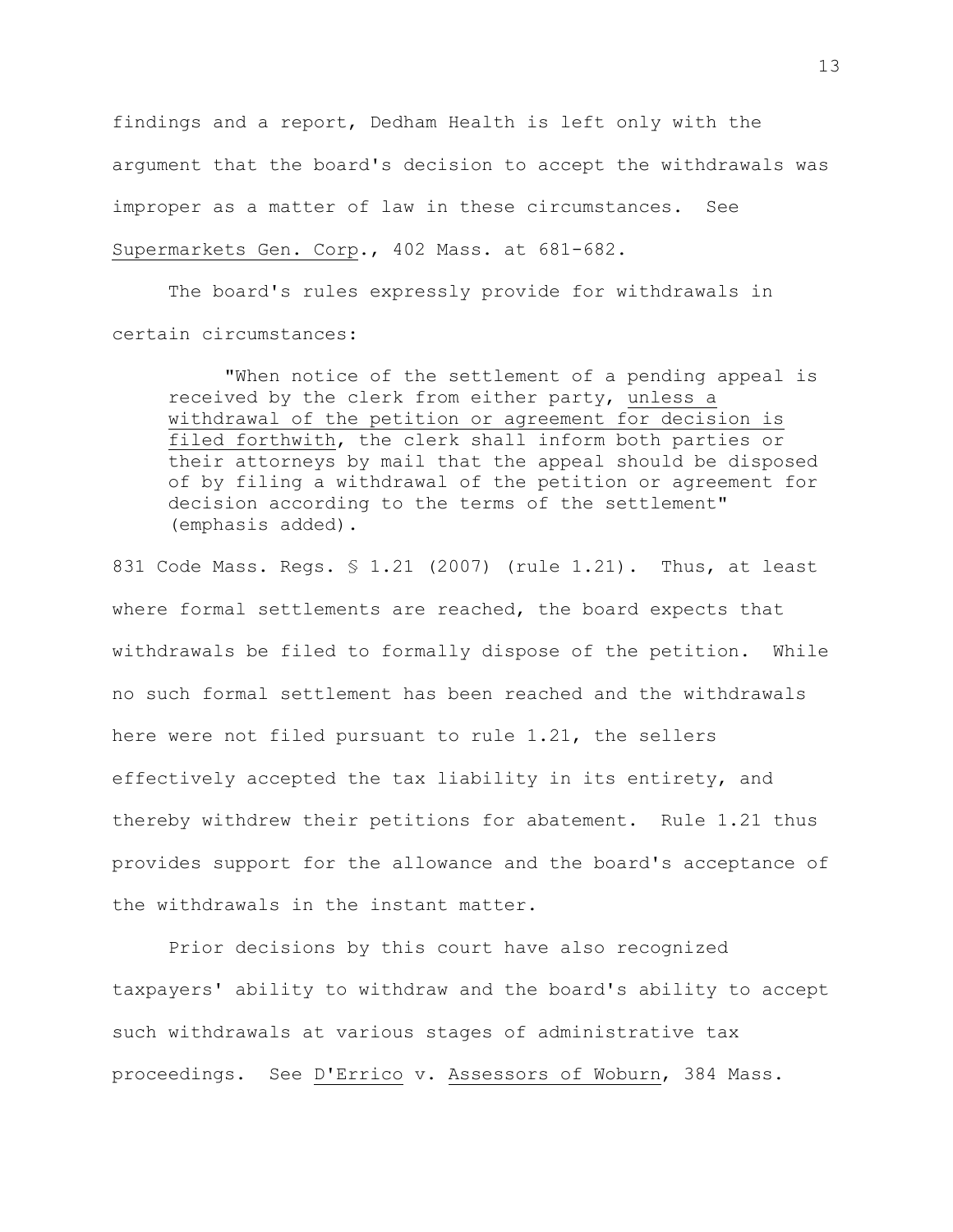findings and a report, Dedham Health is left only with the argument that the board's decision to accept the withdrawals was improper as a matter of law in these circumstances. See Supermarkets Gen. Corp., 402 Mass. at 681-682.

The board's rules expressly provide for withdrawals in certain circumstances:

"When notice of the settlement of a pending appeal is received by the clerk from either party, unless a withdrawal of the petition or agreement for decision is filed forthwith, the clerk shall inform both parties or their attorneys by mail that the appeal should be disposed of by filing a withdrawal of the petition or agreement for decision according to the terms of the settlement" (emphasis added).

831 Code Mass. Regs. § 1.21 (2007) (rule 1.21). Thus, at least where formal settlements are reached, the board expects that withdrawals be filed to formally dispose of the petition. While no such formal settlement has been reached and the withdrawals here were not filed pursuant to rule 1.21, the sellers effectively accepted the tax liability in its entirety, and thereby withdrew their petitions for abatement. Rule 1.21 thus provides support for the allowance and the board's acceptance of the withdrawals in the instant matter.

Prior decisions by this court have also recognized taxpayers' ability to withdraw and the board's ability to accept such withdrawals at various stages of administrative tax proceedings. See D'Errico v. Assessors of Woburn, 384 Mass.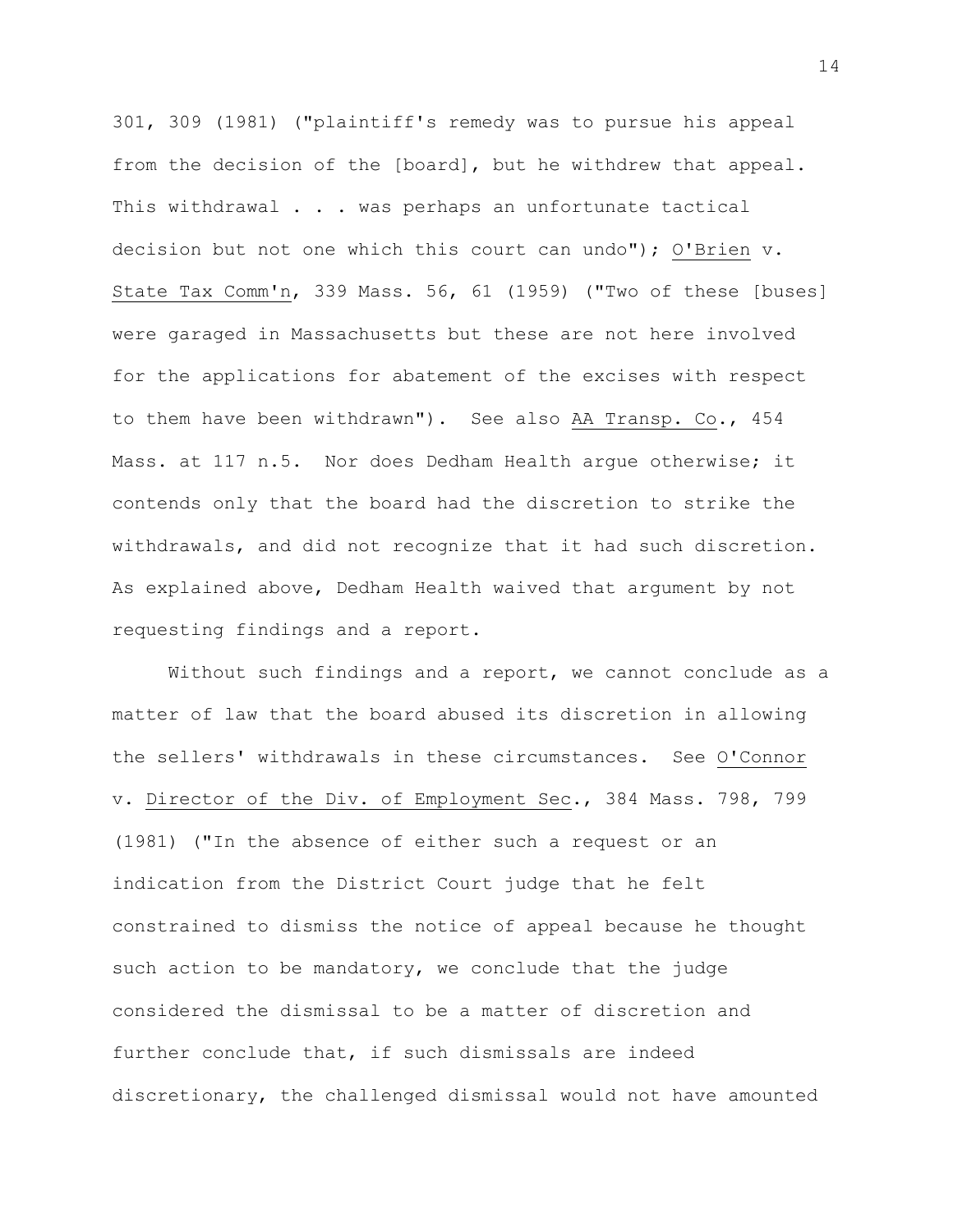301, 309 (1981) ("plaintiff's remedy was to pursue his appeal from the decision of the [board], but he withdrew that appeal. This withdrawal . . . was perhaps an unfortunate tactical decision but not one which this court can undo"); O'Brien v. State Tax Comm'n, 339 Mass. 56, 61 (1959) ("Two of these [buses] were garaged in Massachusetts but these are not here involved for the applications for abatement of the excises with respect to them have been withdrawn"). See also AA Transp. Co., 454 Mass. at 117 n.5. Nor does Dedham Health argue otherwise; it contends only that the board had the discretion to strike the withdrawals, and did not recognize that it had such discretion. As explained above, Dedham Health waived that argument by not requesting findings and a report.

Without such findings and a report, we cannot conclude as a matter of law that the board abused its discretion in allowing the sellers' withdrawals in these circumstances. See O'Connor v. Director of the Div. of Employment Sec., 384 Mass. 798, 799 (1981) ("In the absence of either such a request or an indication from the District Court judge that he felt constrained to dismiss the notice of appeal because he thought such action to be mandatory, we conclude that the judge considered the dismissal to be a matter of discretion and further conclude that, if such dismissals are indeed discretionary, the challenged dismissal would not have amounted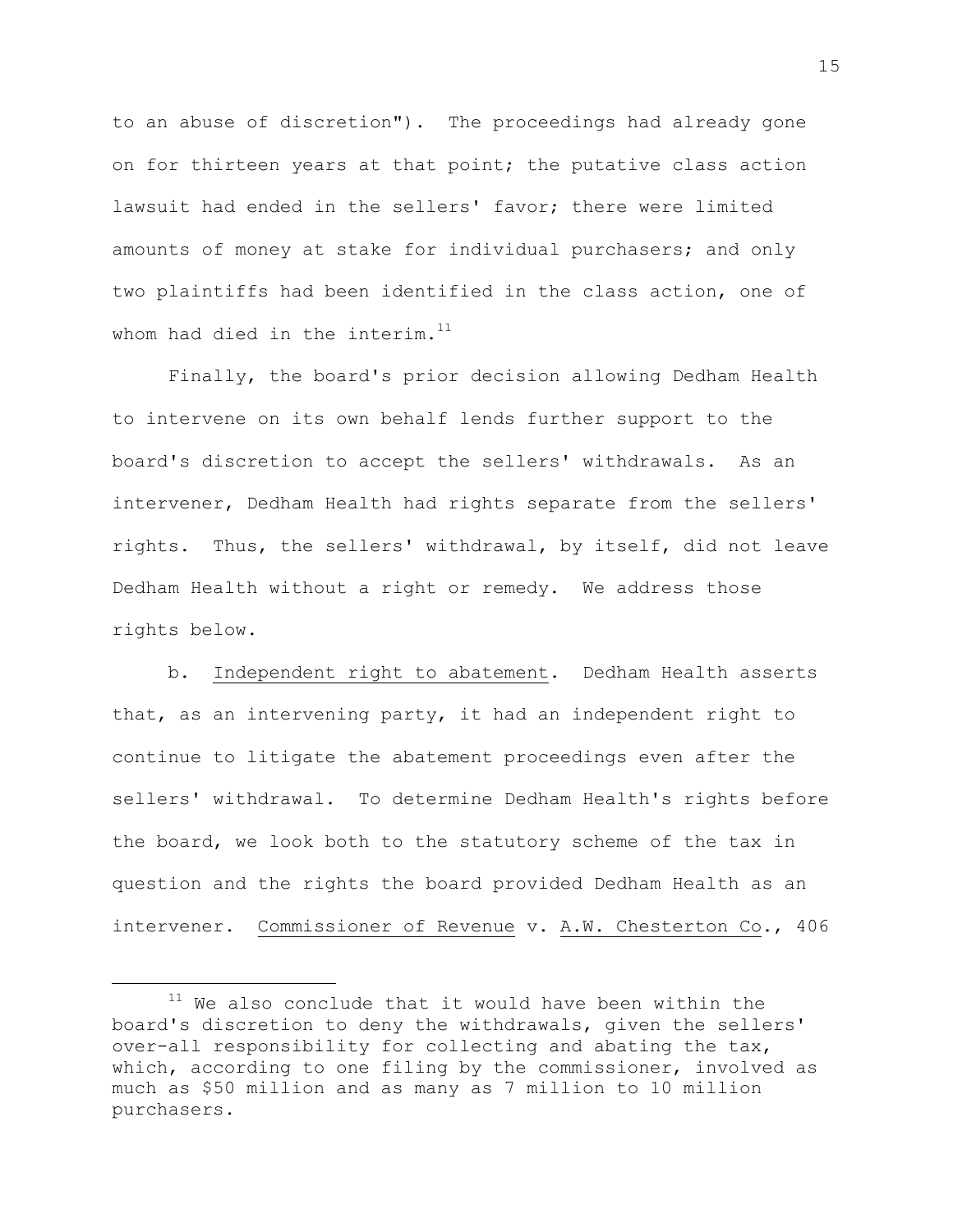to an abuse of discretion"). The proceedings had already gone on for thirteen years at that point; the putative class action lawsuit had ended in the sellers' favor; there were limited amounts of money at stake for individual purchasers; and only two plaintiffs had been identified in the class action, one of whom had died in the interim. $^{\rm 11}$ 

Finally, the board's prior decision allowing Dedham Health to intervene on its own behalf lends further support to the board's discretion to accept the sellers' withdrawals. As an intervener, Dedham Health had rights separate from the sellers' rights. Thus, the sellers' withdrawal, by itself, did not leave Dedham Health without a right or remedy. We address those rights below.

b. Independent right to abatement. Dedham Health asserts that, as an intervening party, it had an independent right to continue to litigate the abatement proceedings even after the sellers' withdrawal. To determine Dedham Health's rights before the board, we look both to the statutory scheme of the tax in question and the rights the board provided Dedham Health as an intervener. Commissioner of Revenue v. A.W. Chesterton Co., 406

L,

 $11$  We also conclude that it would have been within the board's discretion to deny the withdrawals, given the sellers' over-all responsibility for collecting and abating the tax, which, according to one filing by the commissioner, involved as much as \$50 million and as many as 7 million to 10 million purchasers.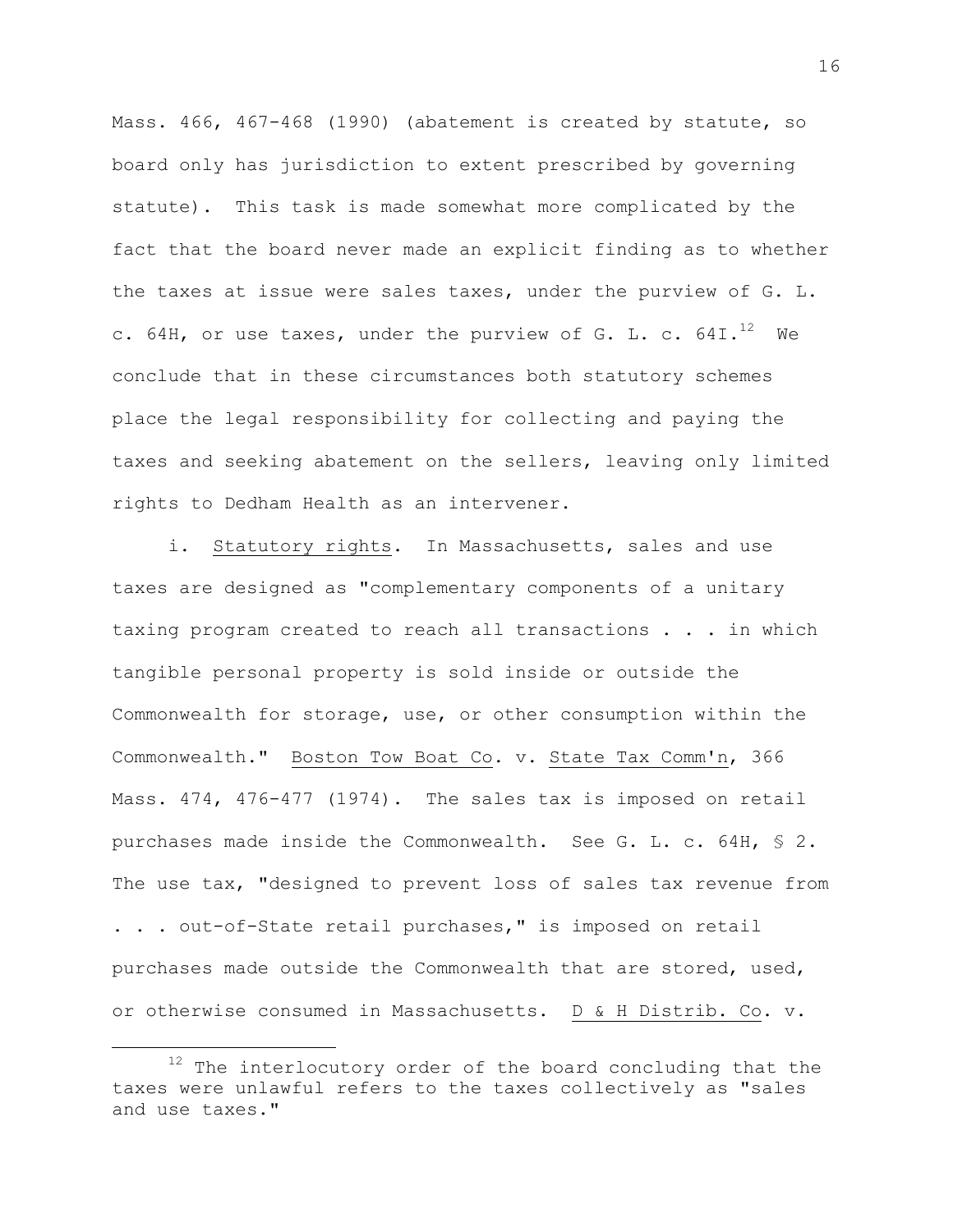Mass. 466, 467-468 (1990) (abatement is created by statute, so board only has jurisdiction to extent prescribed by governing statute). This task is made somewhat more complicated by the fact that the board never made an explicit finding as to whether the taxes at issue were sales taxes, under the purview of G. L. c. 64H, or use taxes, under the purview of G. L. c. 64I. $^{12}$  We conclude that in these circumstances both statutory schemes place the legal responsibility for collecting and paying the taxes and seeking abatement on the sellers, leaving only limited rights to Dedham Health as an intervener.

i. Statutory rights. In Massachusetts, sales and use taxes are designed as "complementary components of a unitary taxing program created to reach all transactions . . . in which tangible personal property is sold inside or outside the Commonwealth for storage, use, or other consumption within the Commonwealth." Boston Tow Boat Co. v. State Tax Comm'n, 366 Mass. 474, 476-477 (1974). The sales tax is imposed on retail purchases made inside the Commonwealth. See G. L. c. 64H, § 2. The use tax, "designed to prevent loss of sales tax revenue from . . . out-of-State retail purchases," is imposed on retail purchases made outside the Commonwealth that are stored, used, or otherwise consumed in Massachusetts. D & H Distrib. Co. v.

 $12$  The interlocutory order of the board concluding that the taxes were unlawful refers to the taxes collectively as "sales and use taxes."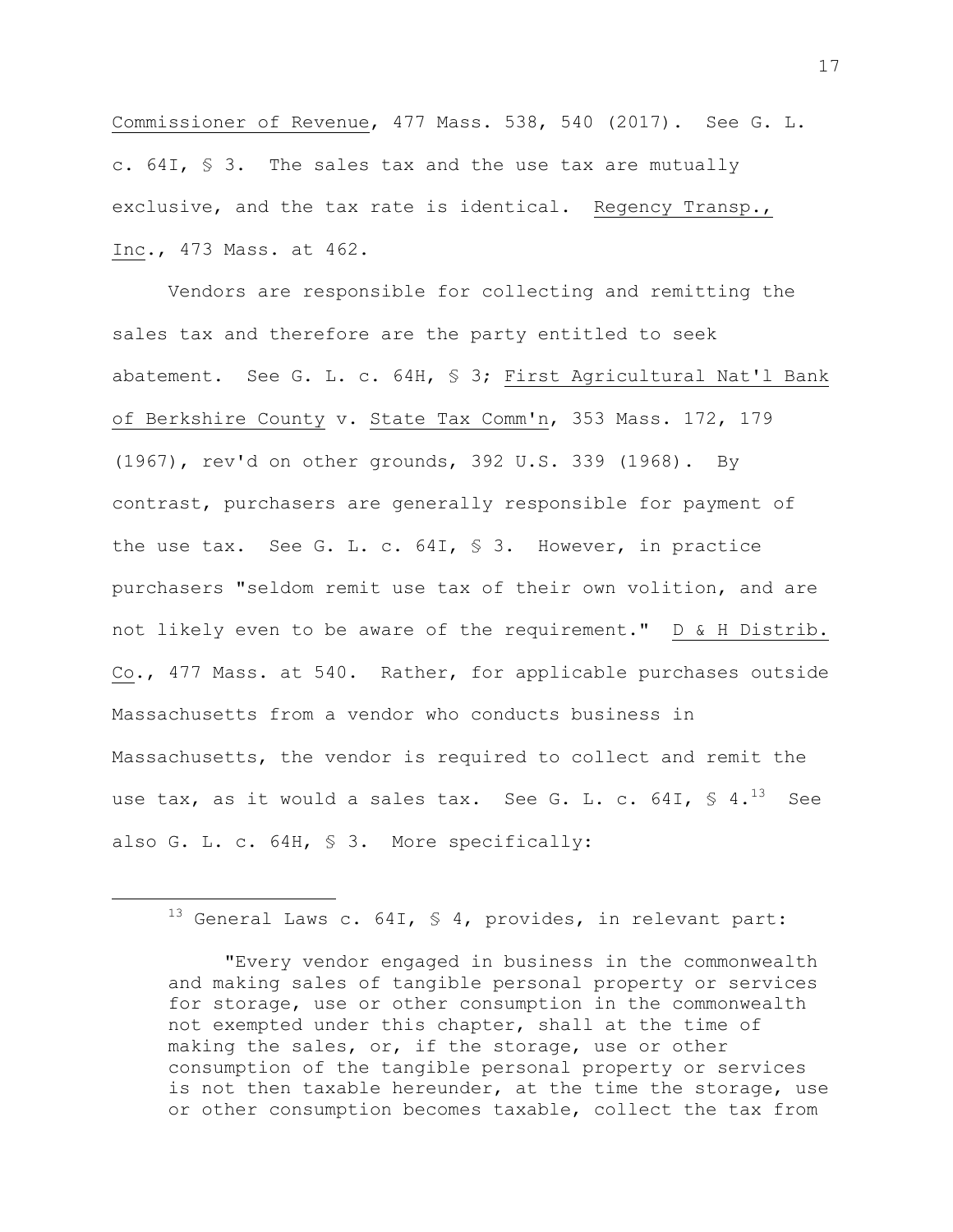Commissioner of Revenue, 477 Mass. 538, 540 (2017). See G. L. c. 64I, § 3. The sales tax and the use tax are mutually exclusive, and the tax rate is identical. Regency Transp., Inc., 473 Mass. at 462.

Vendors are responsible for collecting and remitting the sales tax and therefore are the party entitled to seek abatement. See G. L. c. 64H, § 3; First Agricultural Nat'l Bank of Berkshire County v. State Tax Comm'n, 353 Mass. 172, 179 (1967), rev'd on other grounds, 392 U.S. 339 (1968). By contrast, purchasers are generally responsible for payment of the use tax. See G. L. c. 64I, § 3. However, in practice purchasers "seldom remit use tax of their own volition, and are not likely even to be aware of the requirement." D & H Distrib. Co., 477 Mass. at 540. Rather, for applicable purchases outside Massachusetts from a vendor who conducts business in Massachusetts, the vendor is required to collect and remit the use tax, as it would a sales tax. See G. L. c. 64I,  $\frac{13}{13}$  See also G. L. c. 64H, § 3. More specifically:

 $13$  General Laws c. 64I, § 4, provides, in relevant part:

÷.

"Every vendor engaged in business in the commonwealth and making sales of tangible personal property or services for storage, use or other consumption in the commonwealth not exempted under this chapter, shall at the time of making the sales, or, if the storage, use or other consumption of the tangible personal property or services is not then taxable hereunder, at the time the storage, use or other consumption becomes taxable, collect the tax from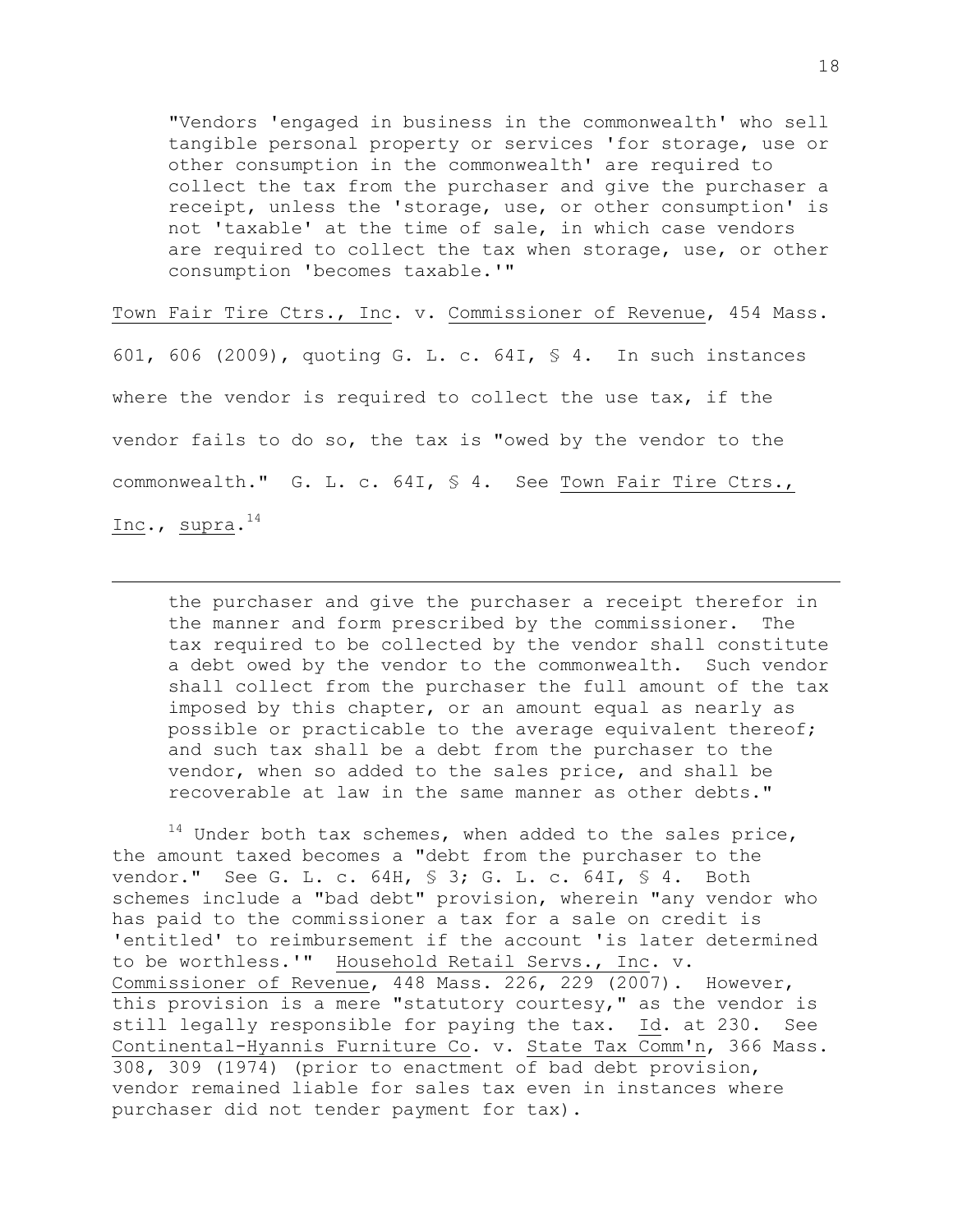"Vendors 'engaged in business in the commonwealth' who sell tangible personal property or services 'for storage, use or other consumption in the commonwealth' are required to collect the tax from the purchaser and give the purchaser a receipt, unless the 'storage, use, or other consumption' is not 'taxable' at the time of sale, in which case vendors are required to collect the tax when storage, use, or other consumption 'becomes taxable.'"

Town Fair Tire Ctrs., Inc. v. Commissioner of Revenue, 454 Mass. 601, 606 (2009), quoting G. L. c. 64I, § 4. In such instances where the vendor is required to collect the use tax, if the vendor fails to do so, the tax is "owed by the vendor to the commonwealth." G. L. c. 64I, § 4. See Town Fair Tire Ctrs., Inc., supra. $^{14}$ 

÷.

the purchaser and give the purchaser a receipt therefor in the manner and form prescribed by the commissioner. The tax required to be collected by the vendor shall constitute a debt owed by the vendor to the commonwealth. Such vendor shall collect from the purchaser the full amount of the tax imposed by this chapter, or an amount equal as nearly as possible or practicable to the average equivalent thereof; and such tax shall be a debt from the purchaser to the vendor, when so added to the sales price, and shall be recoverable at law in the same manner as other debts."

 $14$  Under both tax schemes, when added to the sales price, the amount taxed becomes a "debt from the purchaser to the vendor." See G. L. c. 64H, § 3; G. L. c. 64I, § 4. Both schemes include a "bad debt" provision, wherein "any vendor who has paid to the commissioner a tax for a sale on credit is 'entitled' to reimbursement if the account 'is later determined to be worthless.'" Household Retail Servs., Inc. v. Commissioner of Revenue, 448 Mass. 226, 229 (2007). However, this provision is a mere "statutory courtesy," as the vendor is still legally responsible for paying the tax. Id. at 230. See Continental-Hyannis Furniture Co. v. State Tax Comm'n, 366 Mass. 308, 309 (1974) (prior to enactment of bad debt provision, vendor remained liable for sales tax even in instances where purchaser did not tender payment for tax).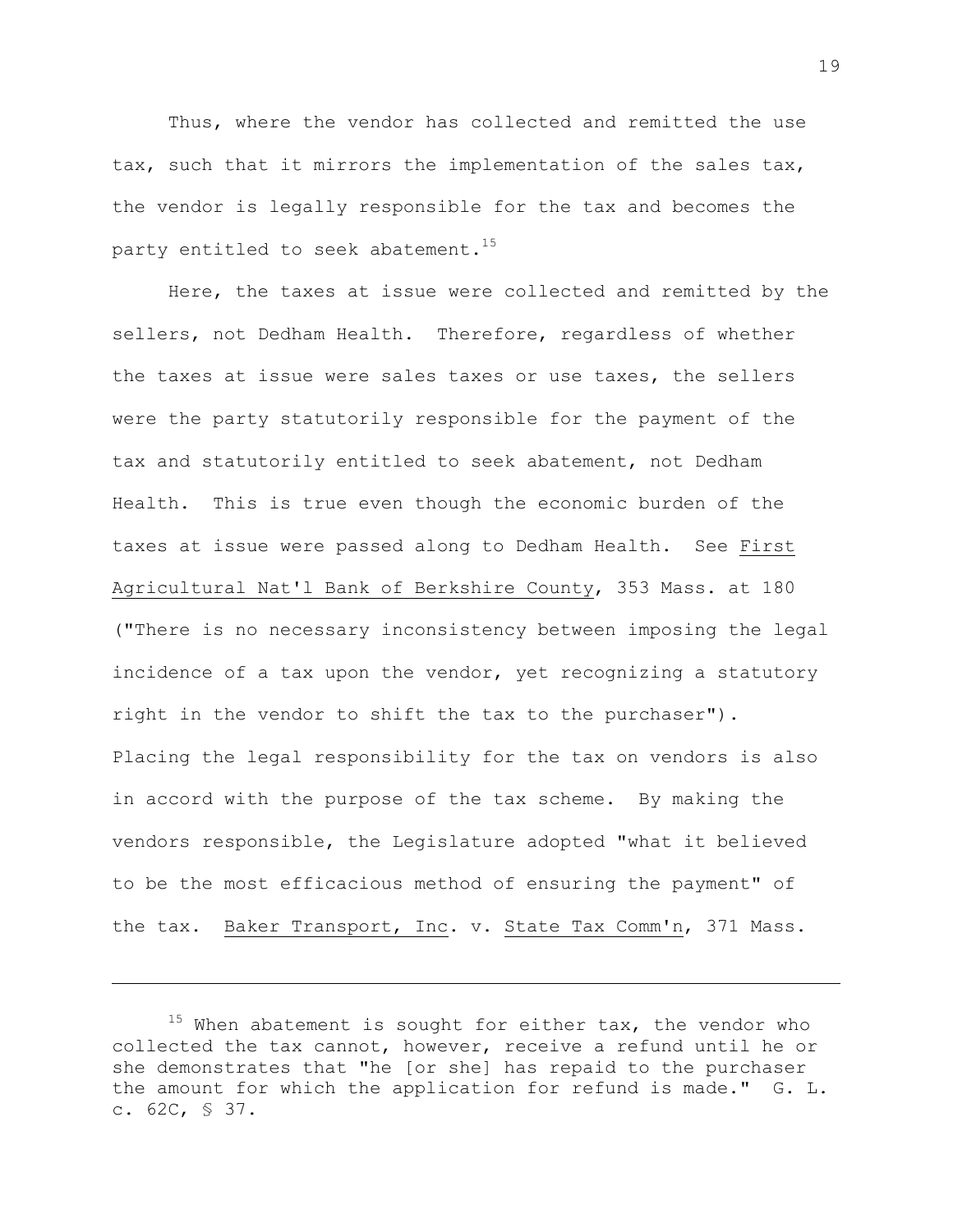Thus, where the vendor has collected and remitted the use tax, such that it mirrors the implementation of the sales tax, the vendor is legally responsible for the tax and becomes the party entitled to seek abatement. $15$ 

Here, the taxes at issue were collected and remitted by the sellers, not Dedham Health. Therefore, regardless of whether the taxes at issue were sales taxes or use taxes, the sellers were the party statutorily responsible for the payment of the tax and statutorily entitled to seek abatement, not Dedham Health. This is true even though the economic burden of the taxes at issue were passed along to Dedham Health. See First Agricultural Nat'l Bank of Berkshire County, 353 Mass. at 180 ("There is no necessary inconsistency between imposing the legal incidence of a tax upon the vendor, yet recognizing a statutory right in the vendor to shift the tax to the purchaser"). Placing the legal responsibility for the tax on vendors is also in accord with the purpose of the tax scheme. By making the vendors responsible, the Legislature adopted "what it believed to be the most efficacious method of ensuring the payment" of the tax. Baker Transport, Inc. v. State Tax Comm'n, 371 Mass.

L,

 $15$  When abatement is sought for either tax, the vendor who collected the tax cannot, however, receive a refund until he or she demonstrates that "he [or she] has repaid to the purchaser the amount for which the application for refund is made." G. L. c. 62C, § 37.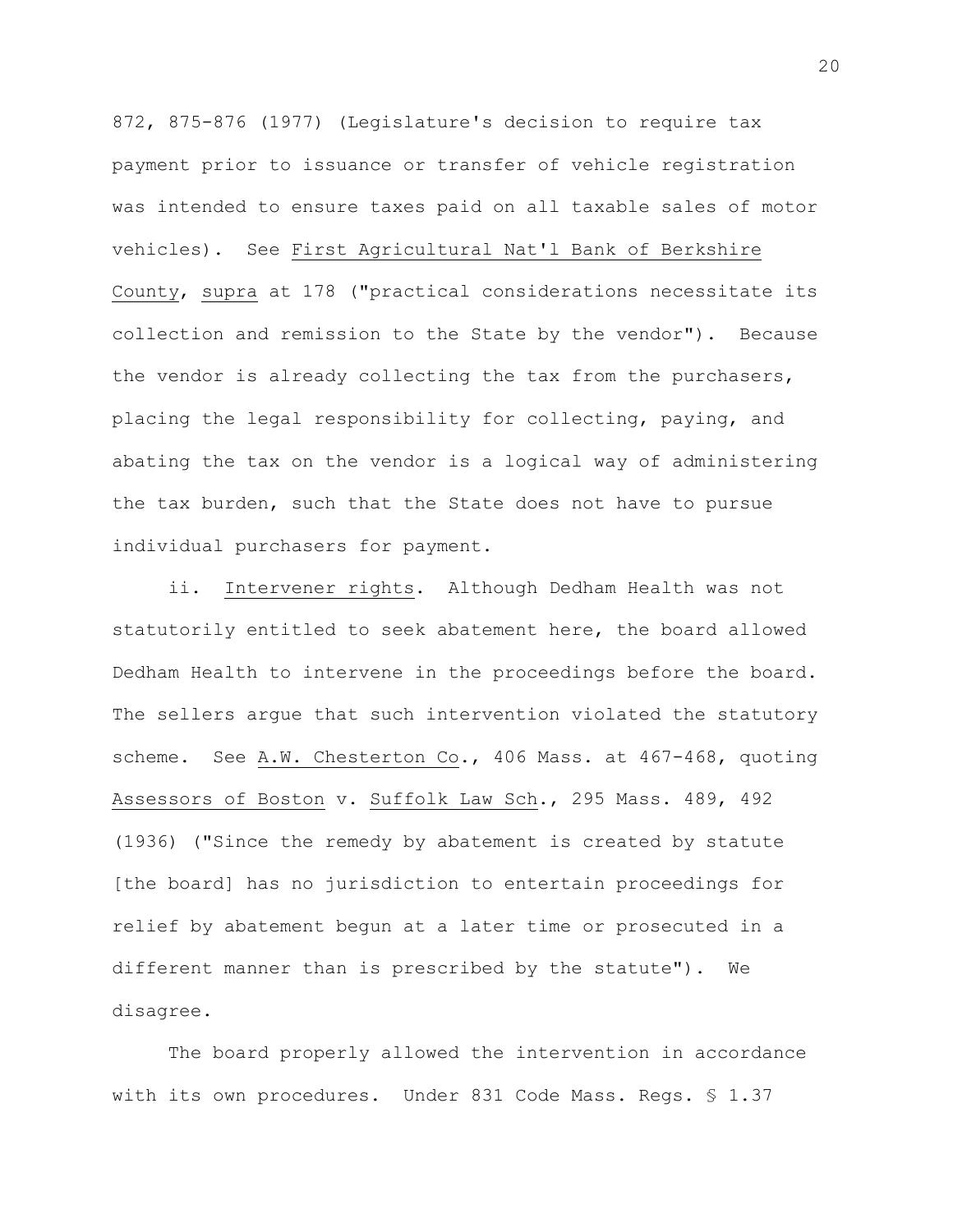872, 875-876 (1977) (Legislature's decision to require tax payment prior to issuance or transfer of vehicle registration was intended to ensure taxes paid on all taxable sales of motor vehicles). See First Agricultural Nat'l Bank of Berkshire County, supra at 178 ("practical considerations necessitate its collection and remission to the State by the vendor"). Because the vendor is already collecting the tax from the purchasers, placing the legal responsibility for collecting, paying, and abating the tax on the vendor is a logical way of administering the tax burden, such that the State does not have to pursue individual purchasers for payment.

ii. Intervener rights. Although Dedham Health was not statutorily entitled to seek abatement here, the board allowed Dedham Health to intervene in the proceedings before the board. The sellers argue that such intervention violated the statutory scheme. See A.W. Chesterton Co., 406 Mass. at 467-468, quoting Assessors of Boston v. Suffolk Law Sch., 295 Mass. 489, 492 (1936) ("Since the remedy by abatement is created by statute [the board] has no jurisdiction to entertain proceedings for relief by abatement begun at a later time or prosecuted in a different manner than is prescribed by the statute"). We disagree.

The board properly allowed the intervention in accordance with its own procedures. Under 831 Code Mass. Regs. § 1.37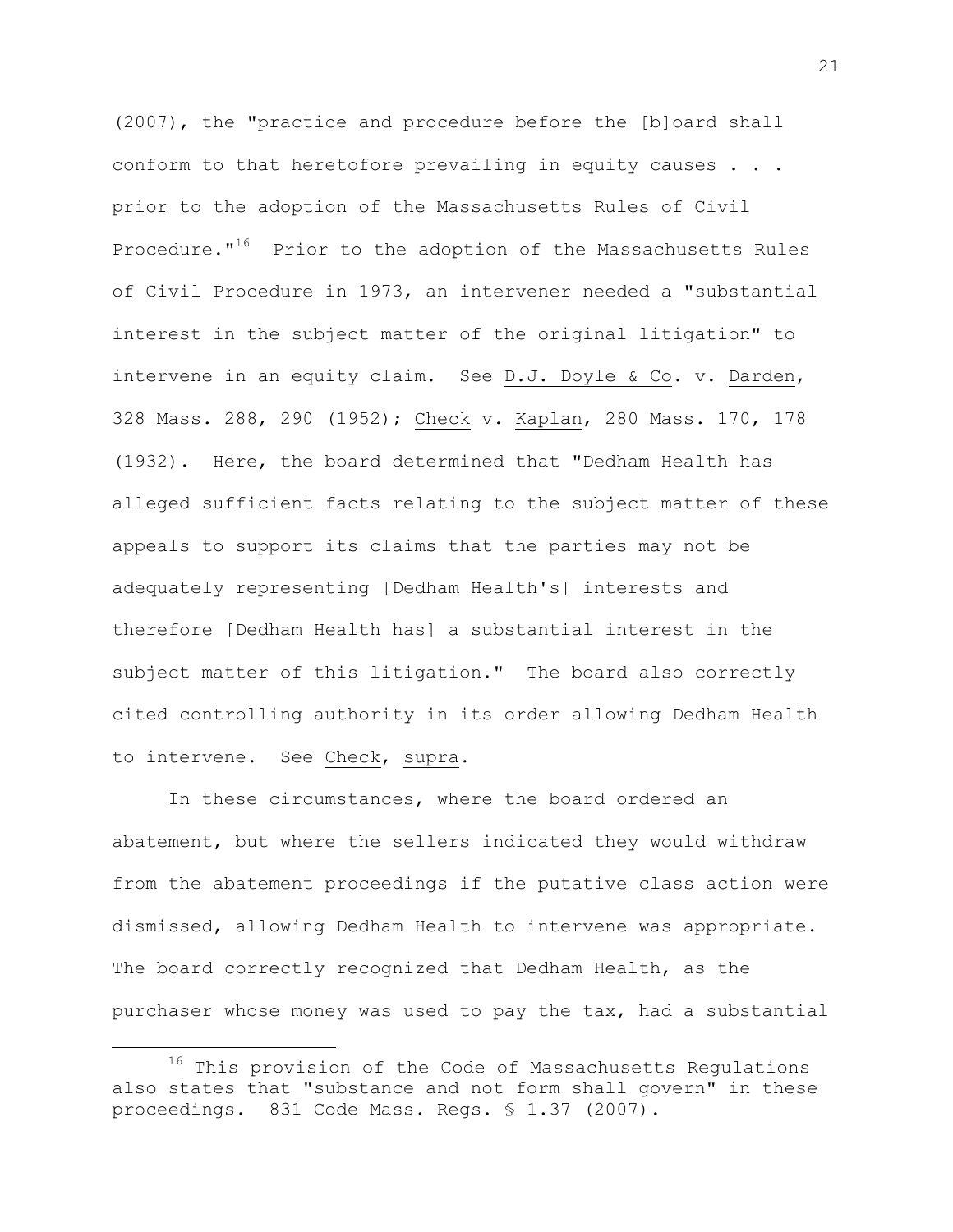(2007), the "practice and procedure before the [b]oard shall conform to that heretofore prevailing in equity causes . . . prior to the adoption of the Massachusetts Rules of Civil Procedure."<sup>16</sup> Prior to the adoption of the Massachusetts Rules of Civil Procedure in 1973, an intervener needed a "substantial interest in the subject matter of the original litigation" to intervene in an equity claim. See D.J. Doyle & Co. v. Darden, 328 Mass. 288, 290 (1952); Check v. Kaplan, 280 Mass. 170, 178 (1932). Here, the board determined that "Dedham Health has alleged sufficient facts relating to the subject matter of these appeals to support its claims that the parties may not be adequately representing [Dedham Health's] interests and therefore [Dedham Health has] a substantial interest in the subject matter of this litigation." The board also correctly cited controlling authority in its order allowing Dedham Health to intervene. See Check, supra.

In these circumstances, where the board ordered an abatement, but where the sellers indicated they would withdraw from the abatement proceedings if the putative class action were dismissed, allowing Dedham Health to intervene was appropriate. The board correctly recognized that Dedham Health, as the purchaser whose money was used to pay the tax, had a substantial

<sup>&</sup>lt;sup>16</sup> This provision of the Code of Massachusetts Regulations also states that "substance and not form shall govern" in these proceedings. 831 Code Mass. Regs. § 1.37 (2007).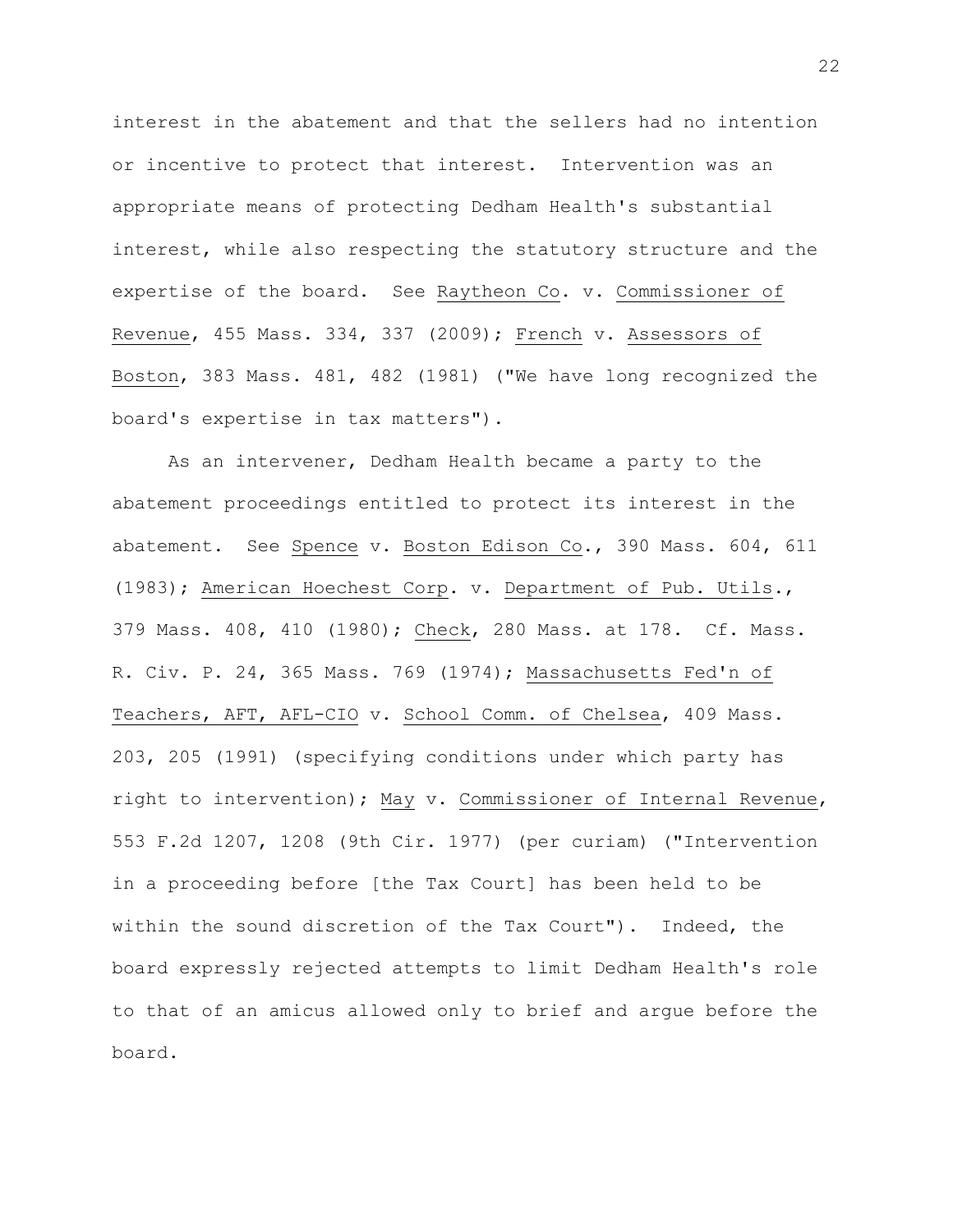interest in the abatement and that the sellers had no intention or incentive to protect that interest. Intervention was an appropriate means of protecting Dedham Health's substantial interest, while also respecting the statutory structure and the expertise of the board. See Raytheon Co. v. Commissioner of Revenue, 455 Mass. 334, 337 (2009); French v. Assessors of Boston, 383 Mass. 481, 482 (1981) ("We have long recognized the board's expertise in tax matters").

As an intervener, Dedham Health became a party to the abatement proceedings entitled to protect its interest in the abatement. See Spence v. Boston Edison Co., 390 Mass. 604, 611 (1983); American Hoechest Corp. v. Department of Pub. Utils., 379 Mass. 408, 410 (1980); Check, 280 Mass. at 178. Cf. Mass. R. Civ. P. 24, 365 Mass. 769 (1974); Massachusetts Fed'n of Teachers, AFT, AFL-CIO v. School Comm. of Chelsea, 409 Mass. 203, 205 (1991) (specifying conditions under which party has right to intervention); May v. Commissioner of Internal Revenue, 553 F.2d 1207, 1208 (9th Cir. 1977) (per curiam) ("Intervention in a proceeding before [the Tax Court] has been held to be within the sound discretion of the Tax Court"). Indeed, the board expressly rejected attempts to limit Dedham Health's role to that of an amicus allowed only to brief and argue before the board.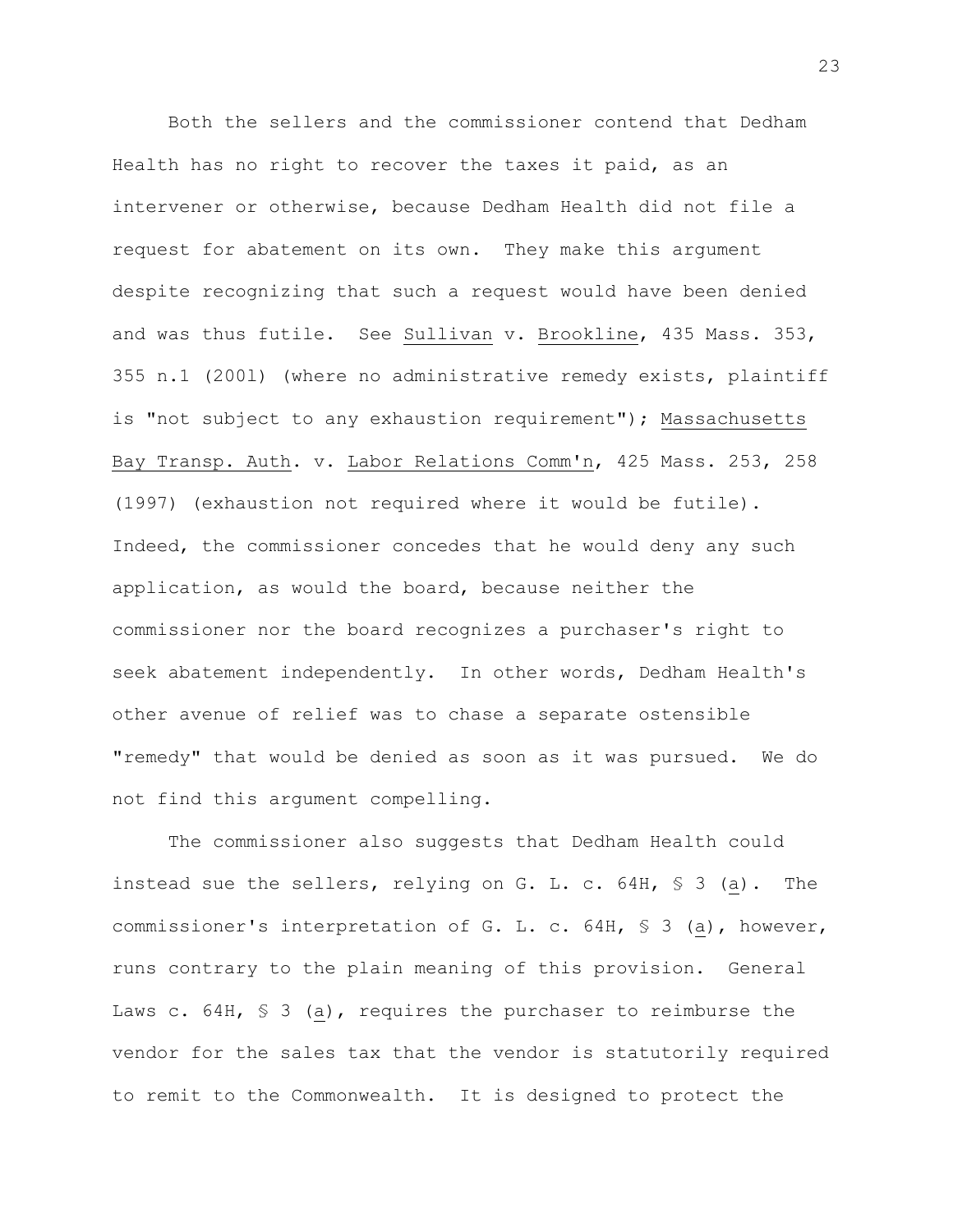Both the sellers and the commissioner contend that Dedham Health has no right to recover the taxes it paid, as an intervener or otherwise, because Dedham Health did not file a request for abatement on its own. They make this argument despite recognizing that such a request would have been denied and was thus futile. See Sullivan v. Brookline, 435 Mass. 353, 355 n.1 (200l) (where no administrative remedy exists, plaintiff is "not subject to any exhaustion requirement"); Massachusetts Bay Transp. Auth. v. Labor Relations Comm'n, 425 Mass. 253, 258 (1997) (exhaustion not required where it would be futile). Indeed, the commissioner concedes that he would deny any such application, as would the board, because neither the commissioner nor the board recognizes a purchaser's right to seek abatement independently. In other words, Dedham Health's other avenue of relief was to chase a separate ostensible "remedy" that would be denied as soon as it was pursued. We do not find this argument compelling.

The commissioner also suggests that Dedham Health could instead sue the sellers, relying on G. L. c. 64H, § 3 (a). The commissioner's interpretation of G. L. c. 64H, § 3 (a), however, runs contrary to the plain meaning of this provision. General Laws c. 64H, § 3 (a), requires the purchaser to reimburse the vendor for the sales tax that the vendor is statutorily required to remit to the Commonwealth. It is designed to protect the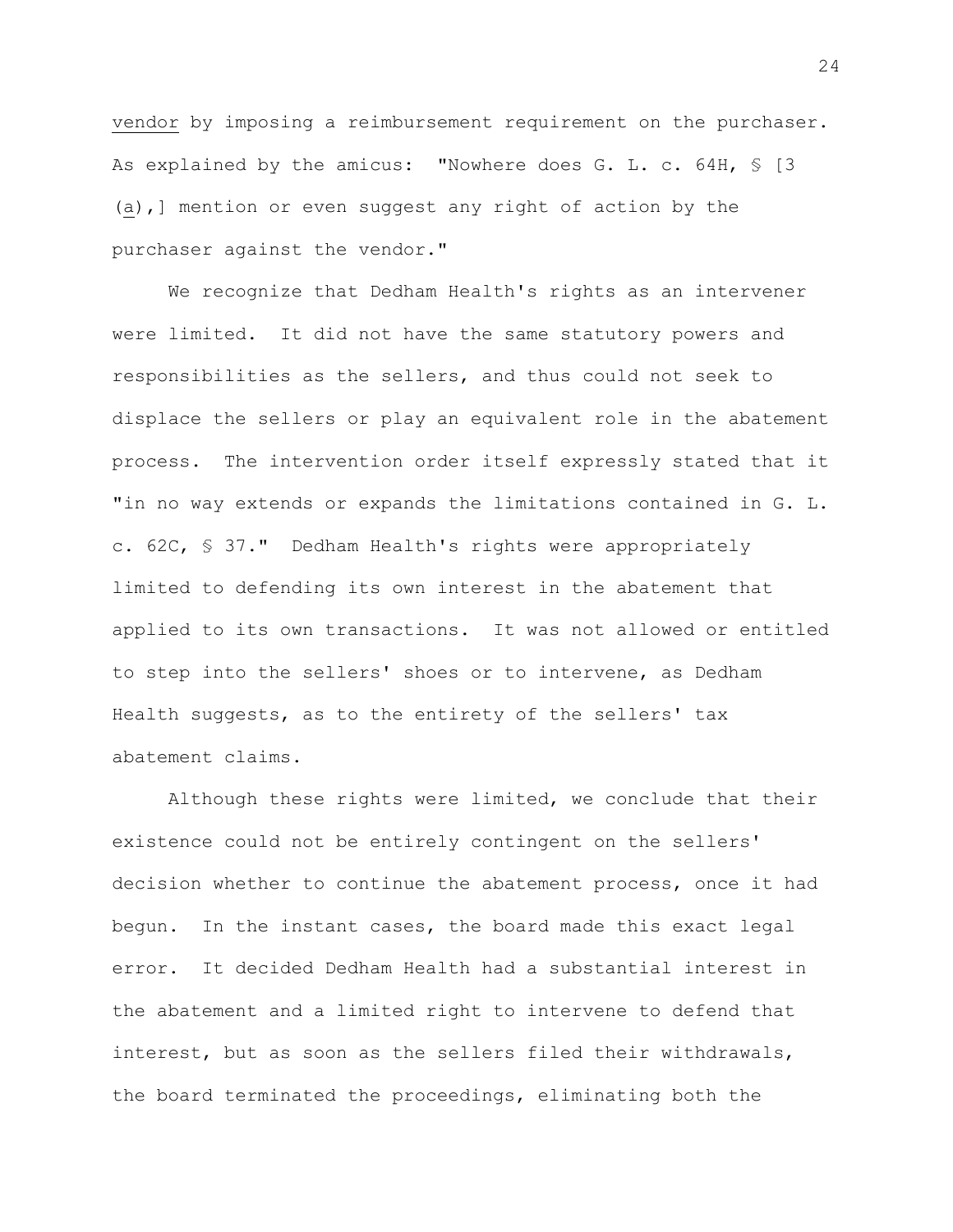vendor by imposing a reimbursement requirement on the purchaser. As explained by the amicus: "Nowhere does G. L. c. 64H, \$ [3 (a),] mention or even suggest any right of action by the purchaser against the vendor."

We recognize that Dedham Health's rights as an intervener were limited. It did not have the same statutory powers and responsibilities as the sellers, and thus could not seek to displace the sellers or play an equivalent role in the abatement process. The intervention order itself expressly stated that it "in no way extends or expands the limitations contained in G. L. c. 62C, § 37." Dedham Health's rights were appropriately limited to defending its own interest in the abatement that applied to its own transactions. It was not allowed or entitled to step into the sellers' shoes or to intervene, as Dedham Health suggests, as to the entirety of the sellers' tax abatement claims.

Although these rights were limited, we conclude that their existence could not be entirely contingent on the sellers' decision whether to continue the abatement process, once it had begun. In the instant cases, the board made this exact legal error. It decided Dedham Health had a substantial interest in the abatement and a limited right to intervene to defend that interest, but as soon as the sellers filed their withdrawals, the board terminated the proceedings, eliminating both the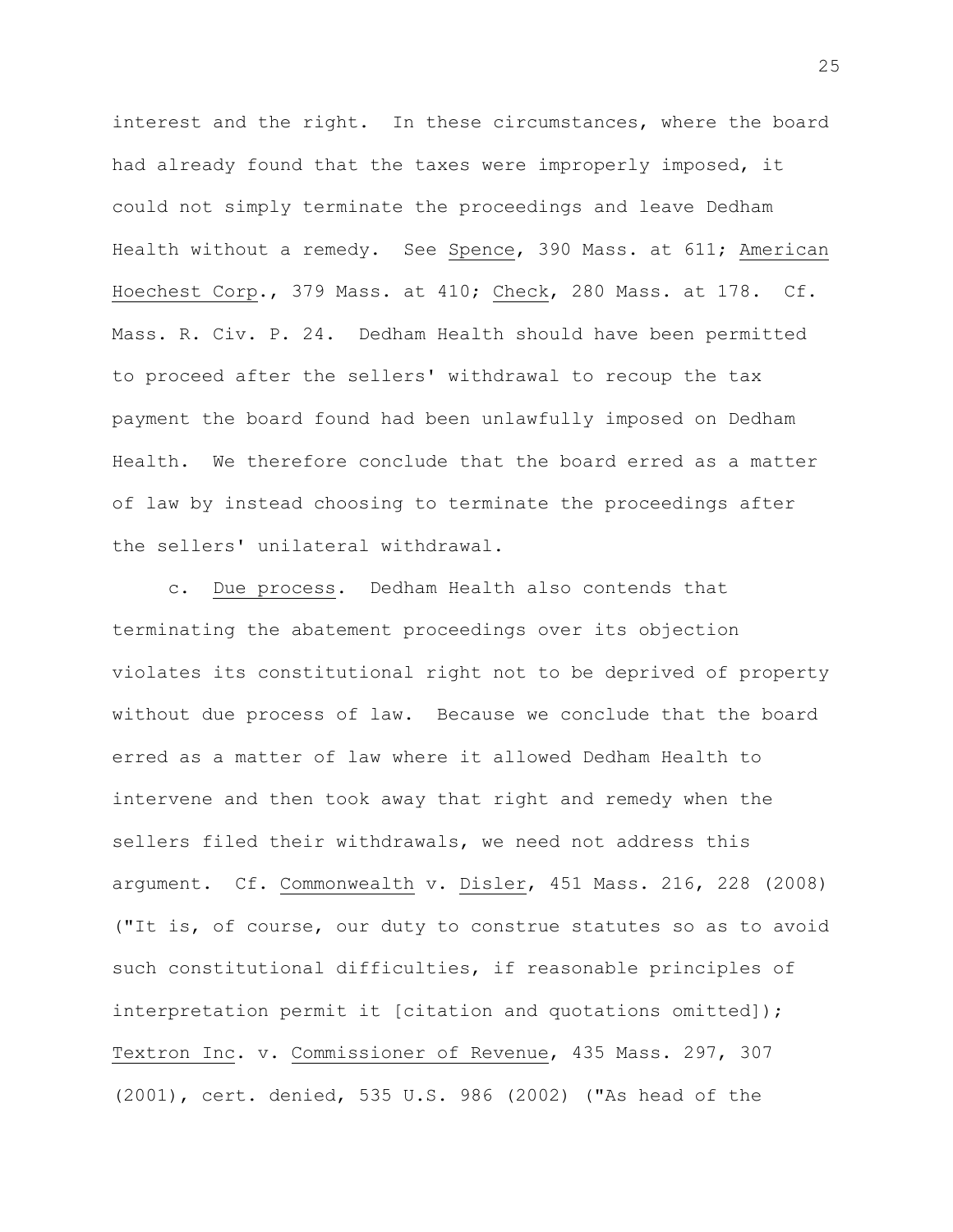interest and the right. In these circumstances, where the board had already found that the taxes were improperly imposed, it could not simply terminate the proceedings and leave Dedham Health without a remedy. See Spence, 390 Mass. at 611; American Hoechest Corp., 379 Mass. at 410; Check, 280 Mass. at 178. Cf. Mass. R. Civ. P. 24. Dedham Health should have been permitted to proceed after the sellers' withdrawal to recoup the tax payment the board found had been unlawfully imposed on Dedham Health. We therefore conclude that the board erred as a matter of law by instead choosing to terminate the proceedings after the sellers' unilateral withdrawal.

c. Due process. Dedham Health also contends that terminating the abatement proceedings over its objection violates its constitutional right not to be deprived of property without due process of law. Because we conclude that the board erred as a matter of law where it allowed Dedham Health to intervene and then took away that right and remedy when the sellers filed their withdrawals, we need not address this argument. Cf. Commonwealth v. Disler, 451 Mass. 216, 228 (2008) ("It is, of course, our duty to construe statutes so as to avoid such constitutional difficulties, if reasonable principles of interpretation permit it [citation and quotations omitted]); Textron Inc. v. Commissioner of Revenue, 435 Mass. 297, 307 (2001), cert. denied, 535 U.S. 986 (2002) ("As head of the